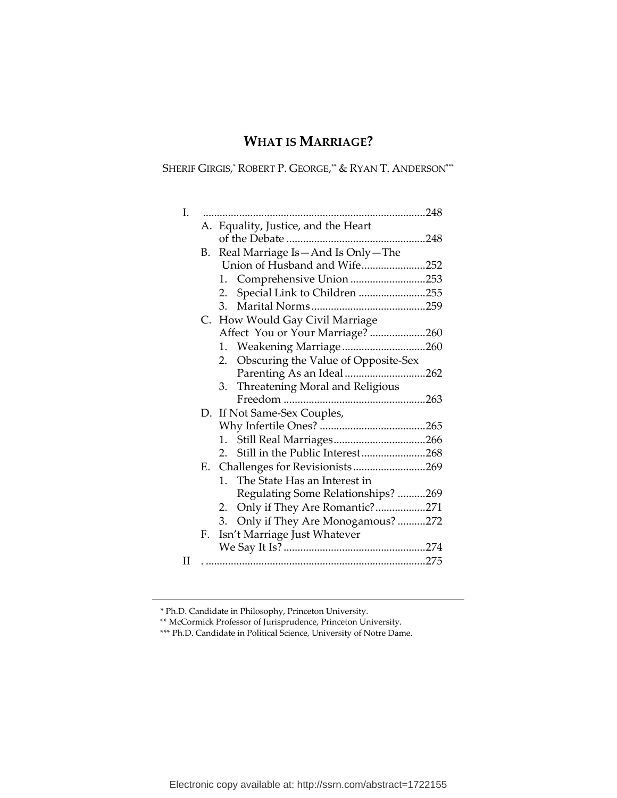# **WHAT IS MARRIAGE?**

Sherif Girgis,\* Robert P. George,\*\* & Ryan T. Anderson\*\*\*

| Ι. |    |                                           |  |
|----|----|-------------------------------------------|--|
|    |    | A. Equality, Justice, and the Heart       |  |
|    |    |                                           |  |
|    | В. | Real Marriage Is-And Is Only-The          |  |
|    |    | Union of Husband and Wife252              |  |
|    |    | 1. Comprehensive Union 253                |  |
|    |    | Special Link to Children 255<br>2.        |  |
|    |    | 3.                                        |  |
|    | C. | How Would Gay Civil Marriage              |  |
|    |    | Affect You or Your Marriage?260           |  |
|    |    | Weakening Marriage260<br>1.               |  |
|    |    | Obscuring the Value of Opposite-Sex<br>2. |  |
|    |    | Parenting As an Ideal 262                 |  |
|    |    | Threatening Moral and Religious<br>3.     |  |
|    |    |                                           |  |
|    |    | D. If Not Same-Sex Couples,               |  |
|    |    |                                           |  |
|    |    | Still Real Marriages266<br>$1_{\cdot}$    |  |
|    |    | Still in the Public Interest268<br>2.     |  |
|    | Е. | Challenges for Revisionists269            |  |
|    |    | The State Has an Interest in<br>1.        |  |
|    |    | Regulating Some Relationships? 269        |  |
|    |    | Only if They Are Romantic?271<br>2.       |  |
|    |    | Only if They Are Monogamous? 272<br>3.    |  |
|    | F. | Isn't Marriage Just Whatever              |  |
|    |    |                                           |  |
| H  |    |                                           |  |
|    |    |                                           |  |

\*\* McCormick Professor of Jurisprudence, Princeton University.

<sup>\*</sup> Ph.D. Candidate in Philosophy, Princeton University.

<sup>\*\*\*</sup> Ph.D. Candidate in Political Science, University of Notre Dame.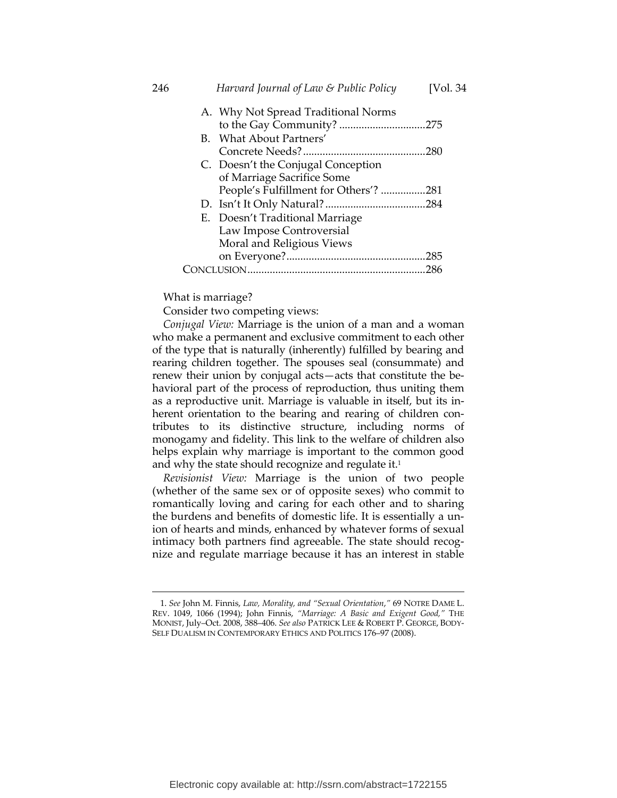| A. Why Not Spread Traditional Norms   |     |
|---------------------------------------|-----|
| to the Gay Community? 275             |     |
| B. What About Partners'               |     |
|                                       |     |
| C. Doesn't the Conjugal Conception    |     |
| of Marriage Sacrifice Some            |     |
| People's Fulfillment for Others'? 281 |     |
|                                       |     |
| E. Doesn't Traditional Marriage       |     |
| Law Impose Controversial              |     |
| Moral and Religious Views             |     |
|                                       |     |
|                                       | 286 |
|                                       |     |

What is marriage?

Consider two competing views:

*Conjugal View:* Marriage is the union of a man and a woman who make a permanent and exclusive commitment to each other of the type that is naturally (inherently) fulfilled by bearing and rearing children together. The spouses seal (consummate) and renew their union by conjugal acts—acts that constitute the behavioral part of the process of reproduction, thus uniting them as a reproductive unit. Marriage is valuable in itself, but its in‐ herent orientation to the bearing and rearing of children contributes to its distinctive structure, including norms of monogamy and fidelity. This link to the welfare of children also helps explain why marriage is important to the common good and why the state should recognize and regulate it.<sup>1</sup>

*Revisionist View:* Marriage is the union of two people (whether of the same sex or of opposite sexes) who commit to romantically loving and caring for each other and to sharing the burdens and benefits of domestic life. It is essentially a un‐ ion of hearts and minds, enhanced by whatever forms of sexual intimacy both partners find agreeable. The state should recognize and regulate marriage because it has an interest in stable

<sup>1.</sup> *See* John M. Finnis, *Law, Morality, and "Sexual Orientation*,*"* 69 NOTRE DAME L. REV. 1049, 1066 (1994); John Finnis, *"Marriage: A Basic and Exigent Good,"* THE MONIST, July–Oct. 2008, 388–406. *See also* PATRICK LEE & ROBERT P. GEORGE, BODY‐ SELF DUALISM IN CONTEMPORARY ETHICS AND POLITICS 176–97 (2008).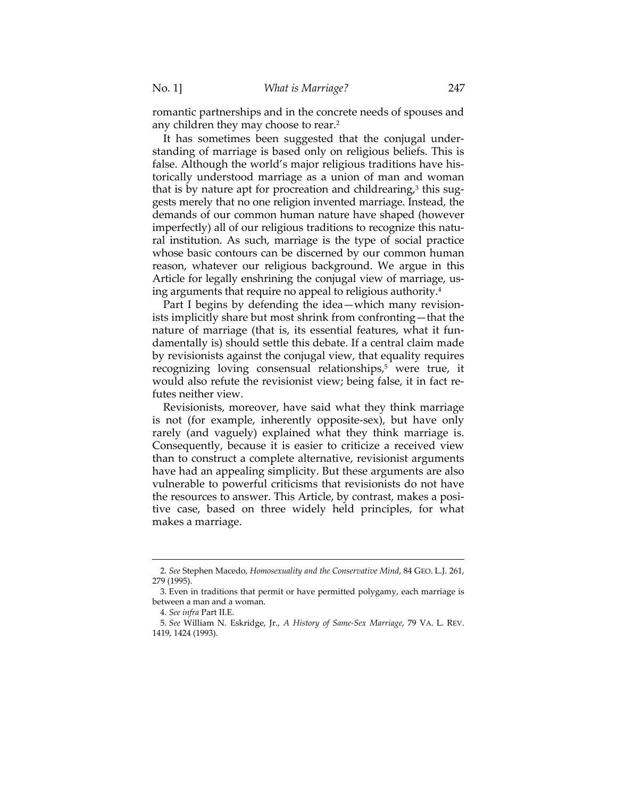romantic partnerships and in the concrete needs of spouses and any children they may choose to rear.2

It has sometimes been suggested that the conjugal under‐ standing of marriage is based only on religious beliefs. This is false. Although the world's major religious traditions have his‐ torically understood marriage as a union of man and woman that is by nature apt for procreation and childrearing, $3$  this suggests merely that no one religion invented marriage. Instead, the demands of our common human nature have shaped (however imperfectly) all of our religious traditions to recognize this natural institution. As such, marriage is the type of social practice whose basic contours can be discerned by our common human reason, whatever our religious background. We argue in this Article for legally enshrining the conjugal view of marriage, us‐ ing arguments that require no appeal to religious authority.4

Part I begins by defending the idea—which many revision‐ ists implicitly share but most shrink from confronting—that the nature of marriage (that is, its essential features, what it fun‐ damentally is) should settle this debate. If a central claim made by revisionists against the conjugal view, that equality requires recognizing loving consensual relationships,<sup>5</sup> were true, it would also refute the revisionist view; being false, it in fact re‐ futes neither view.

Revisionists, moreover, have said what they think marriage is not (for example, inherently opposite‐sex), but have only rarely (and vaguely) explained what they think marriage is. Consequently, because it is easier to criticize a received view than to construct a complete alternative, revisionist arguments have had an appealing simplicity. But these arguments are also vulnerable to powerful criticisms that revisionists do not have the resources to answer. This Article, by contrast, makes a posi‐ tive case, based on three widely held principles, for what makes a marriage.

<sup>&</sup>lt;u> 1989 - Johann Stein, marwolaethau a bhann an t-Amhain an t-Amhain an t-Amhain an t-Amhain an t-Amhain an t-A</u> 2. *See* Stephen Macedo, *Homosexuality and the Conservative Mind*, 84 GEO. L.J. 261, 279 (1995).

<sup>3.</sup> Even in traditions that permit or have permitted polygamy, each marriage is between a man and a woman.

<sup>4.</sup> *See infra* Part II.E.

<sup>5.</sup> *See* William N. Eskridge, Jr., *A History of Same‐Sex Marriage*, 79 VA. L. REV. 1419, 1424 (1993).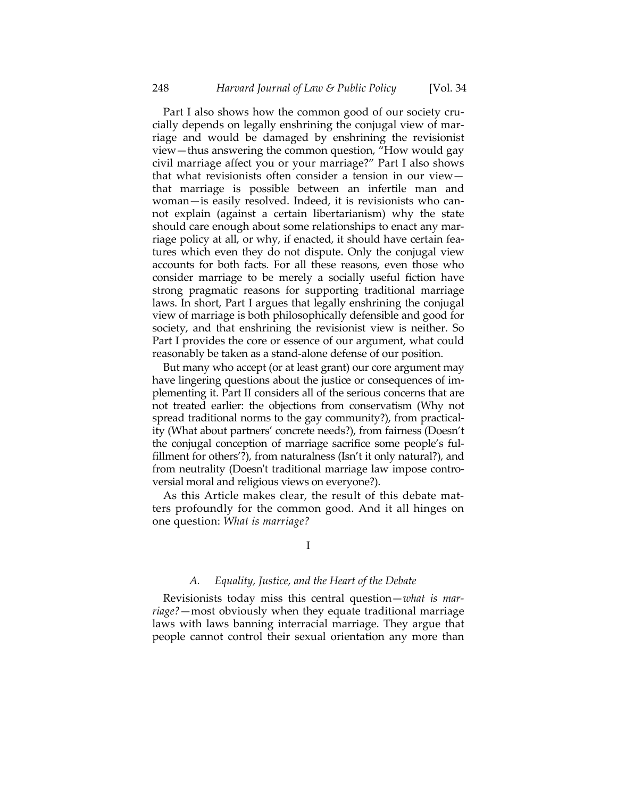Part I also shows how the common good of our society crucially depends on legally enshrining the conjugal view of mar‐ riage and would be damaged by enshrining the revisionist view—thus answering the common question, "How would gay civil marriage affect you or your marriage?" Part I also shows that what revisionists often consider a tension in our view that marriage is possible between an infertile man and woman—is easily resolved. Indeed, it is revisionists who can‐ not explain (against a certain libertarianism) why the state should care enough about some relationships to enact any marriage policy at all, or why, if enacted, it should have certain fea‐ tures which even they do not dispute. Only the conjugal view accounts for both facts. For all these reasons, even those who consider marriage to be merely a socially useful fiction have strong pragmatic reasons for supporting traditional marriage laws. In short, Part I argues that legally enshrining the conjugal view of marriage is both philosophically defensible and good for society, and that enshrining the revisionist view is neither. So Part I provides the core or essence of our argument, what could reasonably be taken as a stand‐alone defense of our position.

But many who accept (or at least grant) our core argument may have lingering questions about the justice or consequences of implementing it. Part II considers all of the serious concerns that are not treated earlier: the objections from conservatism (Why not spread traditional norms to the gay community?), from practical– ity (What about partners' concrete needs?), from fairness (Doesn't the conjugal conception of marriage sacrifice some people's ful‐ fillment for others'?), from naturalness (Isn't it only natural?), and from neutrality (Doesn't traditional marriage law impose controversial moral and religious views on everyone?).

As this Article makes clear, the result of this debate mat‐ ters profoundly for the common good. And it all hinges on one question: *What is marriage?*

## I

# *A. Equality, Justice, and the Heart of the Debate*

Revisionists today miss this central question—*what is mar‐ riage?*—most obviously when they equate traditional marriage laws with laws banning interracial marriage. They argue that people cannot control their sexual orientation any more than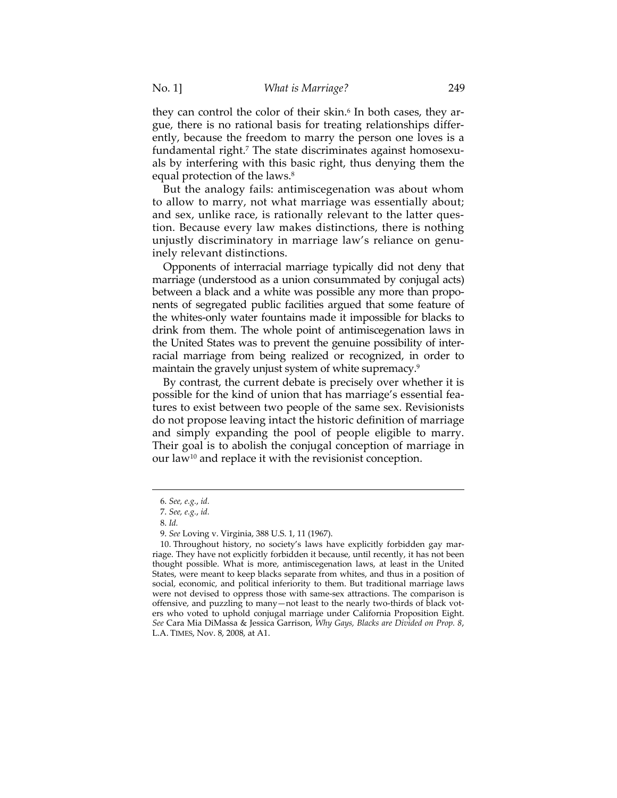they can control the color of their skin. $6$  In both cases, they argue, there is no rational basis for treating relationships differ‐ ently, because the freedom to marry the person one loves is a fundamental right.<sup>7</sup> The state discriminates against homosexuals by interfering with this basic right, thus denying them the equal protection of the laws.<sup>8</sup>

But the analogy fails: antimiscegenation was about whom to allow to marry, not what marriage was essentially about; and sex, unlike race, is rationally relevant to the latter question. Because every law makes distinctions, there is nothing unjustly discriminatory in marriage law's reliance on genu‐ inely relevant distinctions.

Opponents of interracial marriage typically did not deny that marriage (understood as a union consummated by conjugal acts) between a black and a white was possible any more than proponents of segregated public facilities argued that some feature of the whites‐only water fountains made it impossible for blacks to drink from them. The whole point of antimiscegenation laws in the United States was to prevent the genuine possibility of inter‐ racial marriage from being realized or recognized, in order to maintain the gravely unjust system of white supremacy.<sup>9</sup>

By contrast, the current debate is precisely over whether it is possible for the kind of union that has marriage's essential fea‐ tures to exist between two people of the same sex. Revisionists do not propose leaving intact the historic definition of marriage and simply expanding the pool of people eligible to marry. Their goal is to abolish the conjugal conception of marriage in our law10 and replace it with the revisionist conception.

<sup>6.</sup> *See, e.g.*, *id.*

<sup>7.</sup> *See, e.g.*, *id.*

<sup>8.</sup> *Id.*

<sup>9.</sup> *See* Loving v. Virginia, 388 U.S. 1, 11 (1967).

<sup>10.</sup> Throughout history, no society's laws have explicitly forbidden gay mar‐ riage. They have not explicitly forbidden it because, until recently, it has not been thought possible. What is more, antimiscegenation laws, at least in the United States, were meant to keep blacks separate from whites, and thus in a position of social, economic, and political inferiority to them. But traditional marriage laws were not devised to oppress those with same-sex attractions. The comparison is offensive, and puzzling to many—not least to the nearly two‐thirds of black vot‐ ers who voted to uphold conjugal marriage under California Proposition Eight. *See* Cara Mia DiMassa & Jessica Garrison, *Why Gays, Blacks are Divided on Prop. 8*, L.A. TIMES, Nov. 8, 2008, at A1.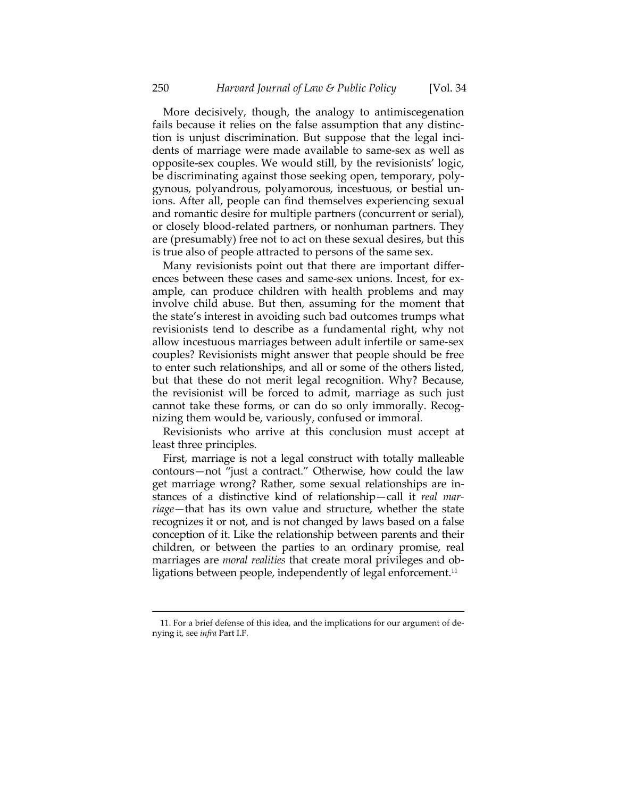More decisively, though, the analogy to antimiscegenation fails because it relies on the false assumption that any distinction is unjust discrimination. But suppose that the legal inci‐ dents of marriage were made available to same‐sex as well as opposite‐sex couples. We would still, by the revisionists' logic, be discriminating against those seeking open, temporary, poly‐ gynous, polyandrous, polyamorous, incestuous, or bestial un‐ ions. After all, people can find themselves experiencing sexual and romantic desire for multiple partners (concurrent or serial), or closely blood‐related partners, or nonhuman partners. They are (presumably) free not to act on these sexual desires, but this is true also of people attracted to persons of the same sex.

Many revisionists point out that there are important differ‐ ences between these cases and same-sex unions. Incest, for example, can produce children with health problems and may involve child abuse. But then, assuming for the moment that the state's interest in avoiding such bad outcomes trumps what revisionists tend to describe as a fundamental right, why not allow incestuous marriages between adult infertile or same‐sex couples? Revisionists might answer that people should be free to enter such relationships, and all or some of the others listed, but that these do not merit legal recognition. Why? Because, the revisionist will be forced to admit, marriage as such just cannot take these forms, or can do so only immorally. Recognizing them would be, variously, confused or immoral.

Revisionists who arrive at this conclusion must accept at least three principles.

First, marriage is not a legal construct with totally malleable contours—not "just a contract." Otherwise, how could the law get marriage wrong? Rather, some sexual relationships are in‐ stances of a distinctive kind of relationship—call it *real mar‐ riage*—that has its own value and structure, whether the state recognizes it or not, and is not changed by laws based on a false conception of it. Like the relationship between parents and their children, or between the parties to an ordinary promise, real marriages are *moral realities* that create moral privileges and ob‐ ligations between people, independently of legal enforcement.<sup>11</sup>

<sup>&</sup>lt;u> 1989 - Johann Stein, marwolaethau a bhann an t-Amhain an t-Amhain an t-Amhain an t-Amhain an t-Amhain an t-A</u> 11. For a brief defense of this idea, and the implications for our argument of de‐ nying it, see *infra* Part I.F.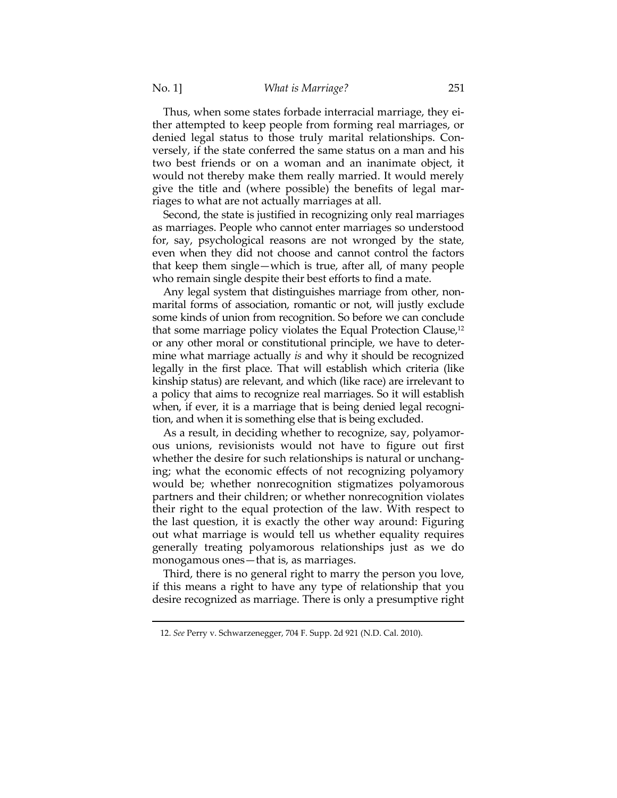Thus, when some states forbade interracial marriage, they ei‐ ther attempted to keep people from forming real marriages, or denied legal status to those truly marital relationships. Con‐ versely, if the state conferred the same status on a man and his two best friends or on a woman and an inanimate object, it would not thereby make them really married. It would merely give the title and (where possible) the benefits of legal mar‐ riages to what are not actually marriages at all.

Second, the state is justified in recognizing only real marriages as marriages. People who cannot enter marriages so understood for, say, psychological reasons are not wronged by the state, even when they did not choose and cannot control the factors that keep them single—which is true, after all, of many people who remain single despite their best efforts to find a mate.

Any legal system that distinguishes marriage from other, nonmarital forms of association, romantic or not, will justly exclude some kinds of union from recognition. So before we can conclude that some marriage policy violates the Equal Protection Clause,12 or any other moral or constitutional principle, we have to deter‐ mine what marriage actually *is* and why it should be recognized legally in the first place. That will establish which criteria (like kinship status) are relevant, and which (like race) are irrelevant to a policy that aims to recognize real marriages. So it will establish when, if ever, it is a marriage that is being denied legal recognition, and when it is something else that is being excluded.

As a result, in deciding whether to recognize, say, polyamorous unions, revisionists would not have to figure out first whether the desire for such relationships is natural or unchanging; what the economic effects of not recognizing polyamory would be; whether nonrecognition stigmatizes polyamorous partners and their children; or whether nonrecognition violates their right to the equal protection of the law. With respect to the last question, it is exactly the other way around: Figuring out what marriage is would tell us whether equality requires generally treating polyamorous relationships just as we do monogamous ones—that is, as marriages.

Third, there is no general right to marry the person you love, if this means a right to have any type of relationship that you desire recognized as marriage. There is only a presumptive right

<sup>12.</sup> *See* Perry v. Schwarzenegger, 704 F. Supp. 2d 921 (N.D. Cal. 2010).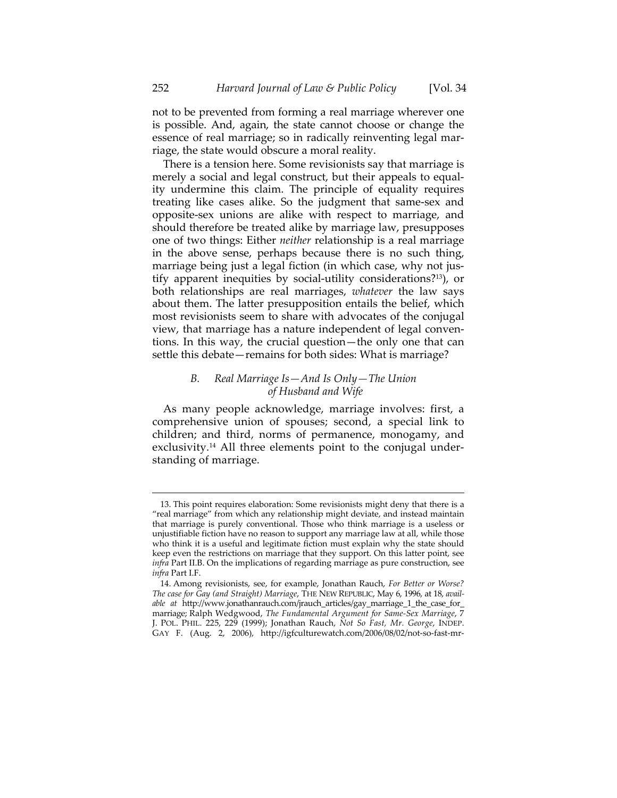not to be prevented from forming a real marriage wherever one is possible. And, again, the state cannot choose or change the essence of real marriage; so in radically reinventing legal marriage, the state would obscure a moral reality.

There is a tension here. Some revisionists say that marriage is merely a social and legal construct, but their appeals to equality undermine this claim. The principle of equality requires treating like cases alike. So the judgment that same‐sex and opposite‐sex unions are alike with respect to marriage, and should therefore be treated alike by marriage law, presupposes one of two things: Either *neither* relationship is a real marriage in the above sense, perhaps because there is no such thing, marriage being just a legal fiction (in which case, why not justify apparent inequities by social‐utility considerations?13), or both relationships are real marriages, *whatever* the law says about them. The latter presupposition entails the belief, which most revisionists seem to share with advocates of the conjugal view, that marriage has a nature independent of legal conven‐ tions. In this way, the crucial question—the only one that can settle this debate—remains for both sides: What is marriage?

# *B. Real Marriage Is—And Is Only—The Union of Husband and Wife*

As many people acknowledge, marriage involves: first, a comprehensive union of spouses; second, a special link to children; and third, norms of permanence, monogamy, and exclusivity.<sup>14</sup> All three elements point to the conjugal understanding of marriage.

<sup>13.</sup> This point requires elaboration: Some revisionists might deny that there is a "real marriage" from which any relationship might deviate, and instead maintain that marriage is purely conventional. Those who think marriage is a useless or unjustifiable fiction have no reason to support any marriage law at all, while those who think it is a useful and legitimate fiction must explain why the state should keep even the restrictions on marriage that they support. On this latter point, see *infra* Part II.B. On the implications of regarding marriage as pure construction, see *infra* Part I.F.

<sup>14.</sup> Among revisionists, see, for example, Jonathan Rauch, *For Better or Worse? The case for Gay (and Straight) Marriage*, THE NEW REPUBLIC, May 6, 1996, at 18, *avail‐ able at* http://www.jonathanrauch.com/jrauch\_articles/gay\_marriage\_1\_the\_case\_for\_ marriage; Ralph Wedgwood, *The Fundamental Argument for Same‐Sex Marriage*, 7 J. POL. PHIL. 225, 229 (1999); Jonathan Rauch, *Not So Fast, Mr. George*, INDEP. GAY F. (Aug. 2, 2006), http://igfculturewatch.com/2006/08/02/not‐so‐fast‐mr‐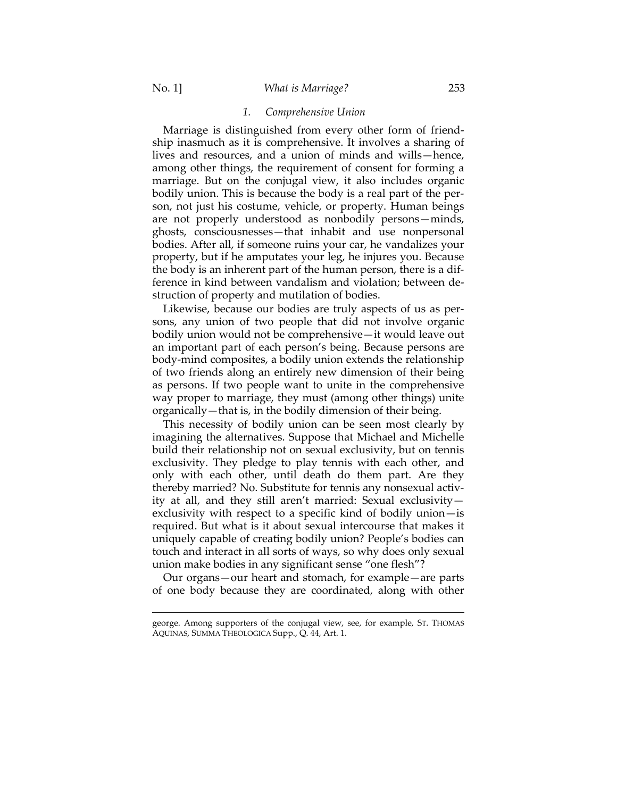#### *1. Comprehensive Union*

Marriage is distinguished from every other form of friend‐ ship inasmuch as it is comprehensive. It involves a sharing of lives and resources, and a union of minds and wills—hence, among other things, the requirement of consent for forming a marriage. But on the conjugal view, it also includes organic bodily union. This is because the body is a real part of the per‐ son, not just his costume, vehicle, or property. Human beings are not properly understood as nonbodily persons—minds, ghosts, consciousnesses—that inhabit and use nonpersonal bodies. After all, if someone ruins your car, he vandalizes your property, but if he amputates your leg, he injures you. Because the body is an inherent part of the human person, there is a dif‐ ference in kind between vandalism and violation; between de‐ struction of property and mutilation of bodies.

Likewise, because our bodies are truly aspects of us as per‐ sons, any union of two people that did not involve organic bodily union would not be comprehensive—it would leave out an important part of each person's being. Because persons are body‐mind composites, a bodily union extends the relationship of two friends along an entirely new dimension of their being as persons. If two people want to unite in the comprehensive way proper to marriage, they must (among other things) unite organically—that is, in the bodily dimension of their being.

This necessity of bodily union can be seen most clearly by imagining the alternatives. Suppose that Michael and Michelle build their relationship not on sexual exclusivity, but on tennis exclusivity. They pledge to play tennis with each other, and only with each other, until death do them part. Are they thereby married? No. Substitute for tennis any nonsexual activ‐ ity at all, and they still aren't married: Sexual exclusivity exclusivity with respect to a specific kind of bodily union—is required. But what is it about sexual intercourse that makes it uniquely capable of creating bodily union? People's bodies can touch and interact in all sorts of ways, so why does only sexual union make bodies in any significant sense "one flesh"?

Our organs—our heart and stomach, for example—are parts of one body because they are coordinated, along with other

 george. Among supporters of the conjugal view, see, for example, ST. THOMAS AQUINAS, SUMMA THEOLOGICA Supp., Q. 44, Art. 1.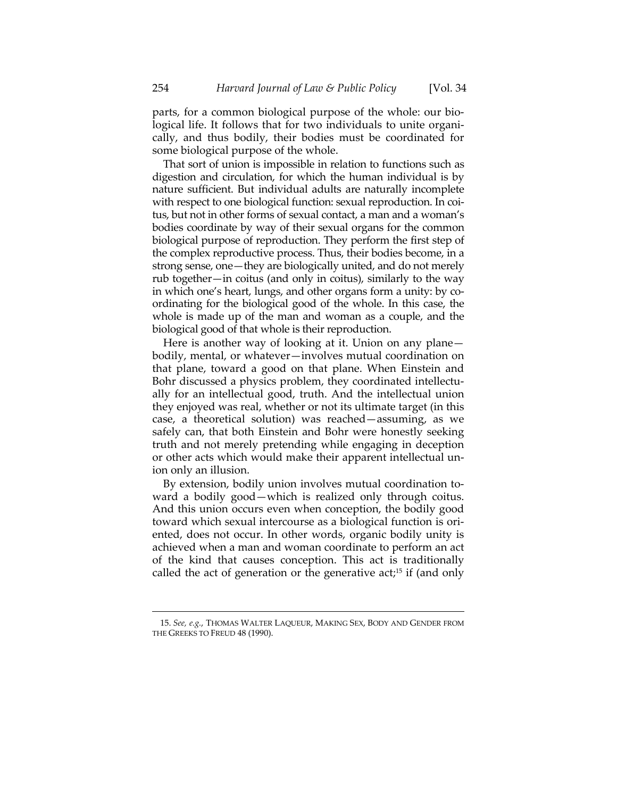parts, for a common biological purpose of the whole: our bio‐ logical life. It follows that for two individuals to unite organi‐ cally, and thus bodily, their bodies must be coordinated for some biological purpose of the whole.

That sort of union is impossible in relation to functions such as digestion and circulation, for which the human individual is by nature sufficient. But individual adults are naturally incomplete with respect to one biological function: sexual reproduction. In coitus, but not in other forms of sexual contact, a man and a woman's bodies coordinate by way of their sexual organs for the common biological purpose of reproduction. They perform the first step of the complex reproductive process. Thus, their bodies become, in a strong sense, one—they are biologically united, and do not merely rub together—in coitus (and only in coitus), similarly to the way in which one's heart, lungs, and other organs form a unity: by coordinating for the biological good of the whole. In this case, the whole is made up of the man and woman as a couple, and the biological good of that whole is their reproduction.

Here is another way of looking at it. Union on any plane bodily, mental, or whatever—involves mutual coordination on that plane, toward a good on that plane. When Einstein and Bohr discussed a physics problem, they coordinated intellectually for an intellectual good, truth. And the intellectual union they enjoyed was real, whether or not its ultimate target (in this case, a theoretical solution) was reached—assuming, as we safely can, that both Einstein and Bohr were honestly seeking truth and not merely pretending while engaging in deception or other acts which would make their apparent intellectual un‐ ion only an illusion.

By extension, bodily union involves mutual coordination toward a bodily good—which is realized only through coitus. And this union occurs even when conception, the bodily good toward which sexual intercourse as a biological function is ori‐ ented, does not occur. In other words, organic bodily unity is achieved when a man and woman coordinate to perform an act of the kind that causes conception. This act is traditionally called the act of generation or the generative act;15 if (and only

<sup>&</sup>lt;u> 1989 - Johann Stein, marwolaethau a bhann an t-Amhain an t-Amhain an t-Amhain an t-Amhain an t-Amhain an t-A</u> 15. *See, e.g.*, THOMAS WALTER LAQUEUR, MAKING SEX, BODY AND GENDER FROM THE GREEKS TO FREUD 48 (1990).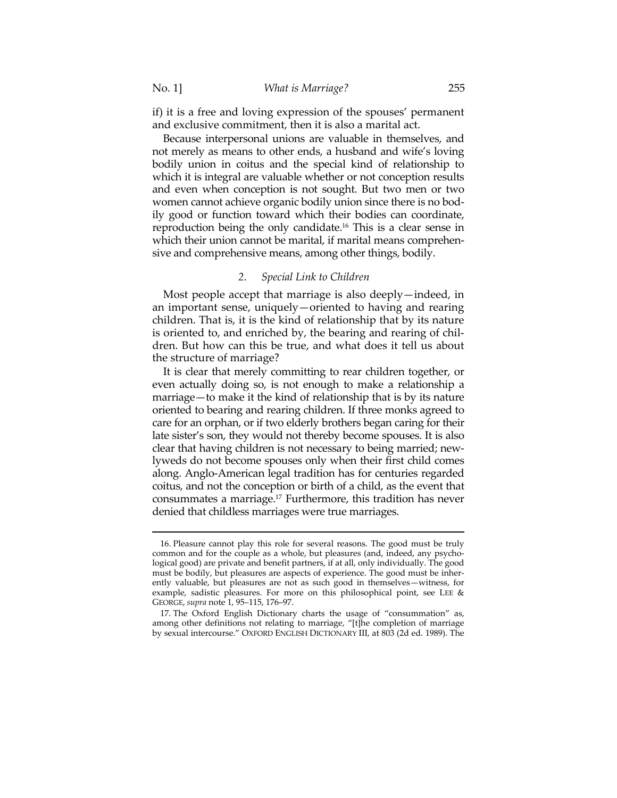if) it is a free and loving expression of the spouses' permanent and exclusive commitment, then it is also a marital act.

Because interpersonal unions are valuable in themselves, and not merely as means to other ends, a husband and wife's loving bodily union in coitus and the special kind of relationship to which it is integral are valuable whether or not conception results and even when conception is not sought. But two men or two women cannot achieve organic bodily union since there is no bod‐ ily good or function toward which their bodies can coordinate, reproduction being the only candidate.16 This is a clear sense in which their union cannot be marital, if marital means comprehensive and comprehensive means, among other things, bodily.

# *2. Special Link to Children*

Most people accept that marriage is also deeply—indeed, in an important sense, uniquely—oriented to having and rearing children. That is, it is the kind of relationship that by its nature is oriented to, and enriched by, the bearing and rearing of chil‐ dren. But how can this be true, and what does it tell us about the structure of marriage?

It is clear that merely committing to rear children together, or even actually doing so, is not enough to make a relationship a marriage—to make it the kind of relationship that is by its nature oriented to bearing and rearing children. If three monks agreed to care for an orphan, or if two elderly brothers began caring for their late sister's son, they would not thereby become spouses. It is also clear that having children is not necessary to being married; new‐ lyweds do not become spouses only when their first child comes along. Anglo‐American legal tradition has for centuries regarded coitus, and not the conception or birth of a child, as the event that consummates a marriage.17 Furthermore, this tradition has never denied that childless marriages were true marriages.

<sup>16.</sup> Pleasure cannot play this role for several reasons. The good must be truly common and for the couple as a whole, but pleasures (and, indeed, any psychological good) are private and benefit partners, if at all, only individually. The good must be bodily, but pleasures are aspects of experience. The good must be inher‐ ently valuable, but pleasures are not as such good in themselves—witness, for example, sadistic pleasures. For more on this philosophical point, see LEE & GEORGE, *supra* note 1, 95–115, 176–97.

<sup>17.</sup> The Oxford English Dictionary charts the usage of "consummation" as, among other definitions not relating to marriage, "[t]he completion of marriage by sexual intercourse." OXFORD ENGLISH DICTIONARY III, at 803 (2d ed. 1989). The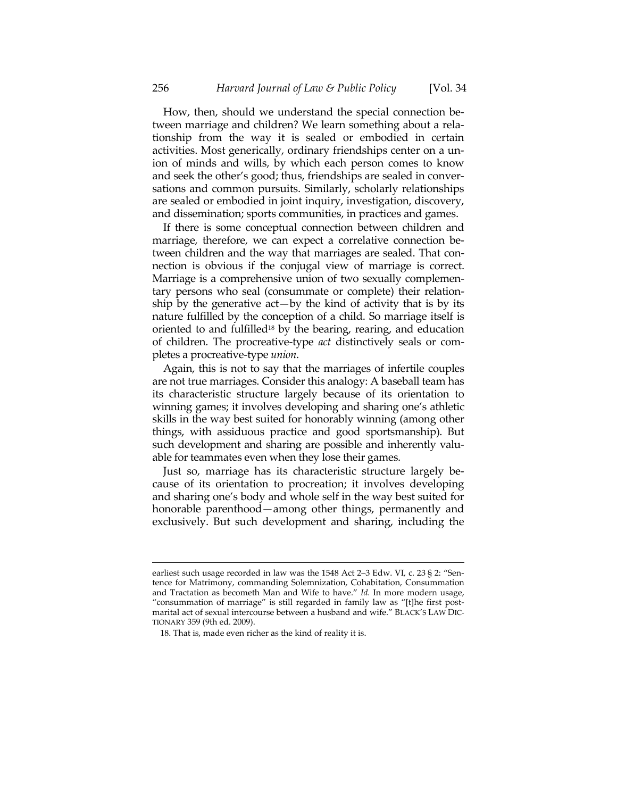How, then, should we understand the special connection be‐ tween marriage and children? We learn something about a rela‐ tionship from the way it is sealed or embodied in certain activities. Most generically, ordinary friendships center on a un‐ ion of minds and wills, by which each person comes to know and seek the other's good; thus, friendships are sealed in conver‐ sations and common pursuits. Similarly, scholarly relationships are sealed or embodied in joint inquiry, investigation, discovery, and dissemination; sports communities, in practices and games.

If there is some conceptual connection between children and marriage, therefore, we can expect a correlative connection between children and the way that marriages are sealed. That con‐ nection is obvious if the conjugal view of marriage is correct. Marriage is a comprehensive union of two sexually complemen‐ tary persons who seal (consummate or complete) their relation‐ ship by the generative act—by the kind of activity that is by its nature fulfilled by the conception of a child. So marriage itself is oriented to and fulfilled<sup>18</sup> by the bearing, rearing, and education of children. The procreative‐type *act* distinctively seals or com‐ pletes a procreative‐type *union*.

Again, this is not to say that the marriages of infertile couples are not true marriages. Consider this analogy: A baseball team has its characteristic structure largely because of its orientation to winning games; it involves developing and sharing one's athletic skills in the way best suited for honorably winning (among other things, with assiduous practice and good sportsmanship). But such development and sharing are possible and inherently valuable for teammates even when they lose their games.

Just so, marriage has its characteristic structure largely be‐ cause of its orientation to procreation; it involves developing and sharing one's body and whole self in the way best suited for honorable parenthood—among other things, permanently and exclusively. But such development and sharing, including the

earliest such usage recorded in law was the 1548 Act 2–3 Edw. VI, c. 23 § 2: "Sentence for Matrimony, commanding Solemnization, Cohabitation, Consummation and Tractation as becometh Man and Wife to have." *Id.* In more modern usage, "consummation of marriage" is still regarded in family law as "[t]he first post‐ marital act of sexual intercourse between a husband and wife." BLACK'S LAW DIC‐ TIONARY 359 (9th ed. 2009).

<sup>18.</sup> That is, made even richer as the kind of reality it is.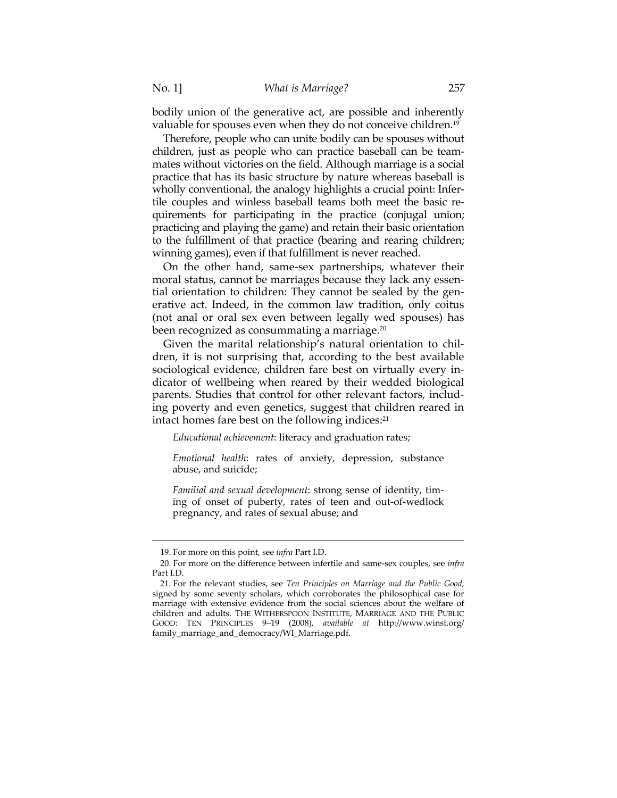bodily union of the generative act, are possible and inherently valuable for spouses even when they do not conceive children.<sup>19</sup>

Therefore, people who can unite bodily can be spouses without children, just as people who can practice baseball can be team‐ mates without victories on the field. Although marriage is a social practice that has its basic structure by nature whereas baseball is wholly conventional, the analogy highlights a crucial point: Infertile couples and winless baseball teams both meet the basic requirements for participating in the practice (conjugal union; practicing and playing the game) and retain their basic orientation to the fulfillment of that practice (bearing and rearing children; winning games), even if that fulfillment is never reached.

On the other hand, same‐sex partnerships, whatever their moral status, cannot be marriages because they lack any essen‐ tial orientation to children: They cannot be sealed by the generative act. Indeed, in the common law tradition, only coitus (not anal or oral sex even between legally wed spouses) has been recognized as consummating a marriage.<sup>20</sup>

Given the marital relationship's natural orientation to chil‐ dren, it is not surprising that, according to the best available sociological evidence, children fare best on virtually every in‐ dicator of wellbeing when reared by their wedded biological parents. Studies that control for other relevant factors, includ‐ ing poverty and even genetics, suggest that children reared in intact homes fare best on the following indices:<sup>21</sup>

*Educational achievement*: literacy and graduation rates;

*Emotional health*: rates of anxiety, depression, substance abuse, and suicide;

*Familial and sexual development*: strong sense of identity, tim‐ ing of onset of puberty, rates of teen and out‐of‐wedlock pregnancy, and rates of sexual abuse; and

<sup>19.</sup> For more on this point, see *infra* Part I.D.

<sup>20.</sup> For more on the difference between infertile and same‐sex couples, see *infra* Part I.D.

<sup>21.</sup> For the relevant studies, see *Ten Principles on Marriage and the Public Good,* signed by some seventy scholars, which corroborates the philosophical case for marriage with extensive evidence from the social sciences about the welfare of children and adults. THE WITHERSPOON INSTITUTE, MARRIAGE AND THE PUBLIC GOOD: TEN PRINCIPLES 9–19 (2008), *available at* http://www.winst.org/ family\_marriage\_and\_democracy/WI\_Marriage.pdf.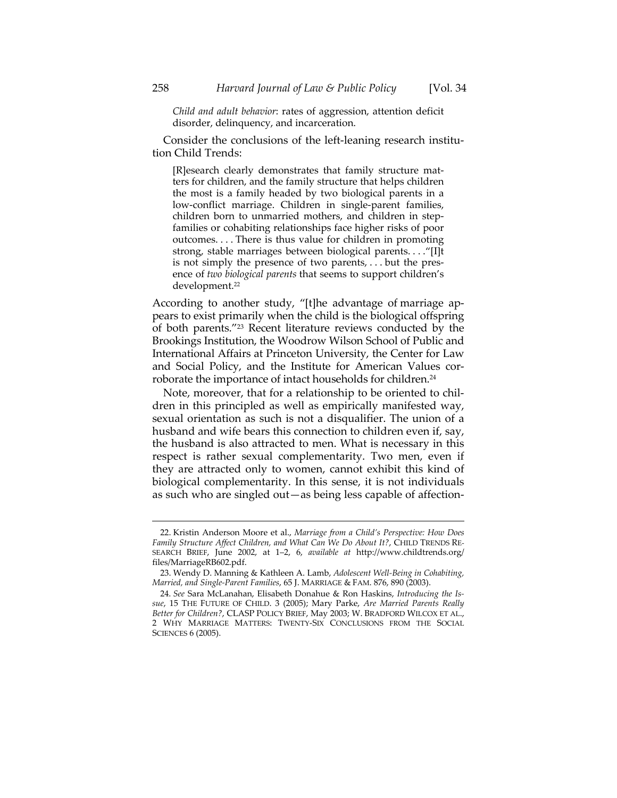*Child and adult behavior*: rates of aggression, attention deficit disorder, delinquency, and incarceration.

Consider the conclusions of the left-leaning research institution Child Trends:

[R]esearch clearly demonstrates that family structure mat‐ ters for children, and the family structure that helps children the most is a family headed by two biological parents in a low‐conflict marriage. Children in single‐parent families, children born to unmarried mothers, and children in stepfamilies or cohabiting relationships face higher risks of poor outcomes. . . . There is thus value for children in promoting strong, stable marriages between biological parents. . . ."[I]t is not simply the presence of two parents,  $\dots$  but the presence of *two biological parents* that seems to support children's development.<sup>22</sup>

According to another study, "[t]he advantage of marriage ap‐ pears to exist primarily when the child is the biological offspring of both parents."23 Recent literature reviews conducted by the Brookings Institution, the Woodrow Wilson School of Public and International Affairs at Princeton University, the Center for Law and Social Policy, and the Institute for American Values cor‐ roborate the importance of intact households for children.<sup>24</sup>

Note, moreover, that for a relationship to be oriented to chil‐ dren in this principled as well as empirically manifested way, sexual orientation as such is not a disqualifier. The union of a husband and wife bears this connection to children even if, say, the husband is also attracted to men. What is necessary in this respect is rather sexual complementarity. Two men, even if they are attracted only to women, cannot exhibit this kind of biological complementarity. In this sense, it is not individuals as such who are singled out—as being less capable of affection‐

<sup>22.</sup> Kristin Anderson Moore et al., *Marriage from a Child's Perspective: How Does Family Structure Affect Children, and What Can We Do About It?*, CHILD TRENDS RE‐ SEARCH BRIEF, June 2002, at 1–2, 6, *available at* http://www.childtrends.org/ files/MarriageRB602.pdf.

<sup>23.</sup> Wendy D. Manning & Kathleen A. Lamb, *Adolescent Well‐Being in Cohabiting, Married, and Single‐Parent Families*, 65 J. MARRIAGE & FAM. 876, 890 (2003).

<sup>24.</sup> *See* Sara McLanahan, Elisabeth Donahue & Ron Haskins, *Introducing the Is‐ sue*, 15 THE FUTURE OF CHILD. 3 (2005); Mary Parke, *Are Married Parents Really Better for Children?*, CLASP POLICY BRIEF, May 2003; W. BRADFORD WILCOX ET AL., 2 WHY MARRIAGE MATTERS: TWENTY‐SIX CONCLUSIONS FROM THE SOCIAL SCIENCES 6 (2005).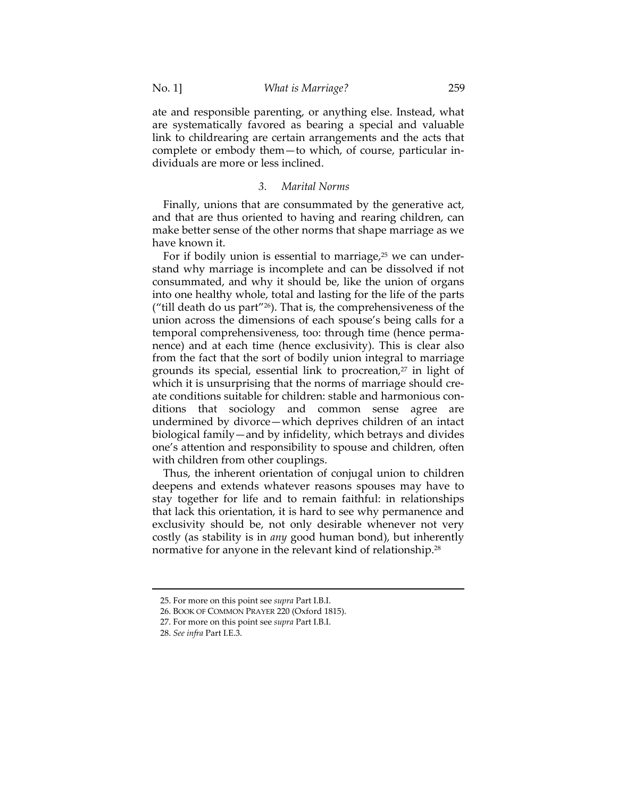ate and responsible parenting, or anything else. Instead, what are systematically favored as bearing a special and valuable link to childrearing are certain arrangements and the acts that complete or embody them—to which, of course, particular in‐ dividuals are more or less inclined.

### *3. Marital Norms*

Finally, unions that are consummated by the generative act, and that are thus oriented to having and rearing children, can make better sense of the other norms that shape marriage as we have known it.

For if bodily union is essential to marriage,<sup>25</sup> we can understand why marriage is incomplete and can be dissolved if not consummated, and why it should be, like the union of organs into one healthy whole, total and lasting for the life of the parts ("till death do us part"26). That is, the comprehensiveness of the union across the dimensions of each spouse's being calls for a temporal comprehensiveness, too: through time (hence perma‐ nence) and at each time (hence exclusivity). This is clear also from the fact that the sort of bodily union integral to marriage grounds its special, essential link to procreation, $27$  in light of which it is unsurprising that the norms of marriage should create conditions suitable for children: stable and harmonious con‐ ditions that sociology and common sense agree are undermined by divorce—which deprives children of an intact biological family—and by infidelity, which betrays and divides one's attention and responsibility to spouse and children, often with children from other couplings.

Thus, the inherent orientation of conjugal union to children deepens and extends whatever reasons spouses may have to stay together for life and to remain faithful: in relationships that lack this orientation, it is hard to see why permanence and exclusivity should be, not only desirable whenever not very costly (as stability is in *any* good human bond), but inherently normative for anyone in the relevant kind of relationship.<sup>28</sup>

<sup>25.</sup> For more on this point see *supra* Part I.B.I.

<sup>26.</sup> BOOK OF COMMON PRAYER 220 (Oxford 1815).

<sup>27.</sup> For more on this point see *supra* Part I.B.I.

<sup>28.</sup> *See infra* Part I.E.3.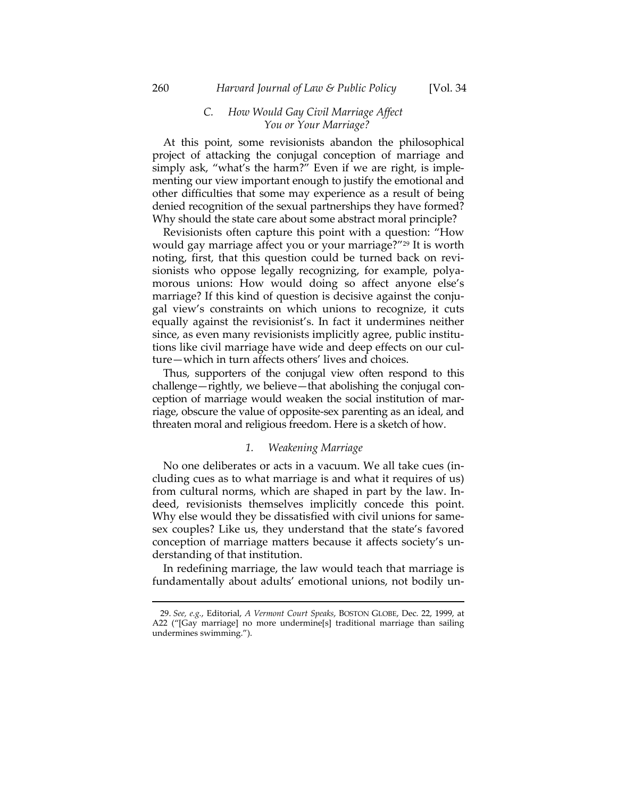# *C. How Would Gay Civil Marriage Affect You or Your Marriage?*

At this point, some revisionists abandon the philosophical project of attacking the conjugal conception of marriage and simply ask, "what's the harm?" Even if we are right, is implementing our view important enough to justify the emotional and other difficulties that some may experience as a result of being denied recognition of the sexual partnerships they have formed? Why should the state care about some abstract moral principle?

Revisionists often capture this point with a question: "How would gay marriage affect you or your marriage?"29 It is worth noting, first, that this question could be turned back on revi‐ sionists who oppose legally recognizing, for example, polya‐ morous unions: How would doing so affect anyone else's marriage? If this kind of question is decisive against the conjugal view's constraints on which unions to recognize, it cuts equally against the revisionist's. In fact it undermines neither since, as even many revisionists implicitly agree, public institu‐ tions like civil marriage have wide and deep effects on our cul‐ ture—which in turn affects others' lives and choices.

Thus, supporters of the conjugal view often respond to this challenge—rightly, we believe—that abolishing the conjugal con‐ ception of marriage would weaken the social institution of marriage, obscure the value of opposite‐sex parenting as an ideal, and threaten moral and religious freedom. Here is a sketch of how.

### *1. Weakening Marriage*

No one deliberates or acts in a vacuum. We all take cues (in‐ cluding cues as to what marriage is and what it requires of us) from cultural norms, which are shaped in part by the law. In‐ deed, revisionists themselves implicitly concede this point. Why else would they be dissatisfied with civil unions for same sex couples? Like us, they understand that the state's favored conception of marriage matters because it affects society's un‐ derstanding of that institution.

In redefining marriage, the law would teach that marriage is fundamentally about adults' emotional unions, not bodily un‐

<sup>29.</sup> *See, e.g.*, Editorial, *A Vermont Court Speaks*, BOSTON GLOBE, Dec. 22, 1999, at A22 ("[Gay marriage] no more undermine[s] traditional marriage than sailing undermines swimming.").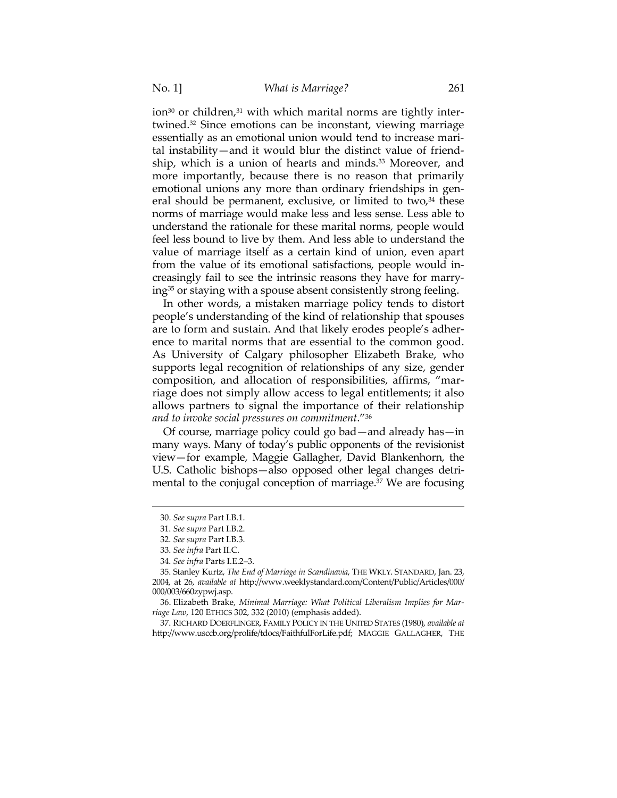$\sin^{30}$  or children,<sup>31</sup> with which marital norms are tightly intertwined.32 Since emotions can be inconstant, viewing marriage essentially as an emotional union would tend to increase mari‐ tal instability—and it would blur the distinct value of friend‐ ship, which is a union of hearts and minds.<sup>33</sup> Moreover, and more importantly, because there is no reason that primarily emotional unions any more than ordinary friendships in general should be permanent, exclusive, or limited to two.<sup>34</sup> these norms of marriage would make less and less sense. Less able to understand the rationale for these marital norms, people would feel less bound to live by them. And less able to understand the value of marriage itself as a certain kind of union, even apart from the value of its emotional satisfactions, people would in‐ creasingly fail to see the intrinsic reasons they have for marry‐ ing35 or staying with a spouse absent consistently strong feeling.

In other words, a mistaken marriage policy tends to distort people's understanding of the kind of relationship that spouses are to form and sustain. And that likely erodes people's adher‐ ence to marital norms that are essential to the common good. As University of Calgary philosopher Elizabeth Brake, who supports legal recognition of relationships of any size, gender composition, and allocation of responsibilities, affirms, "mar‐ riage does not simply allow access to legal entitlements; it also allows partners to signal the importance of their relationship *and to invoke social pressures on commitment*."36

Of course, marriage policy could go bad—and already has—in many ways. Many of today's public opponents of the revisionist view—for example, Maggie Gallagher, David Blankenhorn, the U.S. Catholic bishops—also opposed other legal changes detri mental to the conjugal conception of marriage.<sup>37</sup> We are focusing

<u> 1989 - Johann Stein, marwolaethau a bhann an t-Amhain an t-Amhain an t-Amhain an t-Amhain an t-Amhain an t-A</u>

37. RICHARD DOERFLINGER, FAMILY POLICY IN THE UNITED STATES (1980), *available at* http://www.usccb.org/prolife/tdocs/FaithfulForLife.pdf; MAGGIE GALLAGHER, THE

<sup>30.</sup> *See supra* Part I.B.1.

<sup>31.</sup> *See supra* Part I.B.2.

<sup>32.</sup> *See supra* Part I.B.3.

<sup>33.</sup> *See infra* Part II.C.

<sup>34.</sup> *See infra* Parts I.E.2–3.

<sup>35.</sup> Stanley Kurtz, *The End of Marriage in Scandinavia*, THE WKLY. STANDARD, Jan. 23, 2004, at 26, *available at* http://www.weeklystandard.com/Content/Public/Articles/000/ 000/003/660zypwj.asp.

<sup>36.</sup> Elizabeth Brake, *Minimal Marriage: What Political Liberalism Implies for Mar‐ riage Law*, 120 ETHICS 302, 332 (2010) (emphasis added).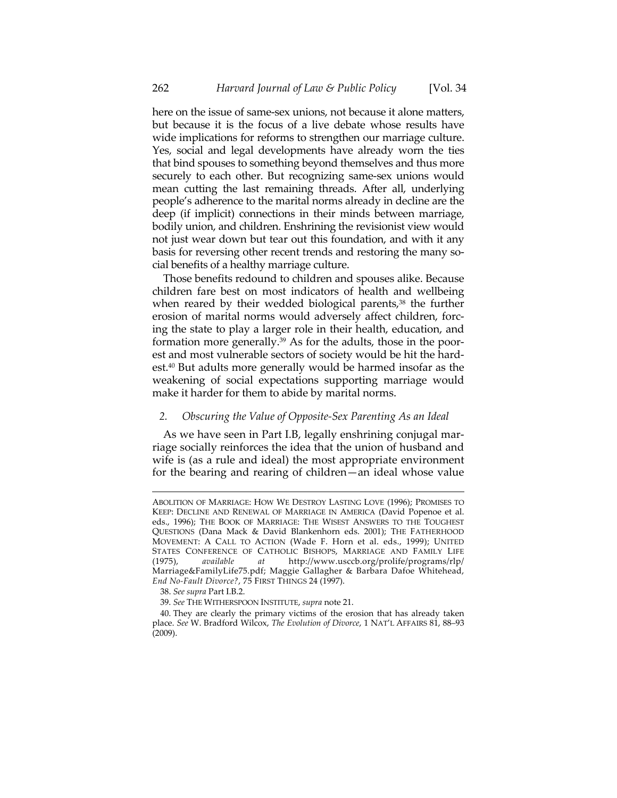here on the issue of same-sex unions, not because it alone matters, but because it is the focus of a live debate whose results have wide implications for reforms to strengthen our marriage culture. Yes, social and legal developments have already worn the ties that bind spouses to something beyond themselves and thus more securely to each other. But recognizing same-sex unions would mean cutting the last remaining threads. After all, underlying people's adherence to the marital norms already in decline are the deep (if implicit) connections in their minds between marriage, bodily union, and children. Enshrining the revisionist view would not just wear down but tear out this foundation, and with it any basis for reversing other recent trends and restoring the many social benefits of a healthy marriage culture.

Those benefits redound to children and spouses alike. Because children fare best on most indicators of health and wellbeing when reared by their wedded biological parents, $38$  the further erosion of marital norms would adversely affect children, forc‐ ing the state to play a larger role in their health, education, and formation more generally.<sup>39</sup> As for the adults, those in the poorest and most vulnerable sectors of society would be hit the hard‐ est.40 But adults more generally would be harmed insofar as the weakening of social expectations supporting marriage would make it harder for them to abide by marital norms.

# *2. Obscuring the Value of Opposite‐Sex Parenting As an Ideal*

As we have seen in Part I.B, legally enshrining conjugal marriage socially reinforces the idea that the union of husband and wife is (as a rule and ideal) the most appropriate environment for the bearing and rearing of children—an ideal whose value

ABOLITION OF MARRIAGE: HOW WE DESTROY LASTING LOVE (1996); PROMISES TO KEEP: DECLINE AND RENEWAL OF MARRIAGE IN AMERICA (David Popenoe et al. eds., 1996); THE BOOK OF MARRIAGE: THE WISEST ANSWERS TO THE TOUGHEST QUESTIONS (Dana Mack & David Blankenhorn eds. 2001); THE FATHERHOOD MOVEMENT: A CALL TO ACTION (Wade F. Horn et al. eds., 1999); UNITED STATES CONFERENCE OF CATHOLIC BISHOPS, MARRIAGE AND FAMILY LIFE (1975), *available at* http://www.usccb.org/prolife/programs/rlp/ Marriage&FamilyLife75.pdf; Maggie Gallagher & Barbara Dafoe Whitehead, *End No‐Fault Divorce?*, 75 FIRST THINGS 24 (1997).

<sup>38.</sup> *See supra* Part I.B.2.

<sup>39.</sup> *See* THE WITHERSPOON INSTITUTE, *supra* note 21.

<sup>40.</sup> They are clearly the primary victims of the erosion that has already taken place. *See* W. Bradford Wilcox, *The Evolution of Divorce*, 1 NAT'L AFFAIRS 81, 88–93  $(2009)$ .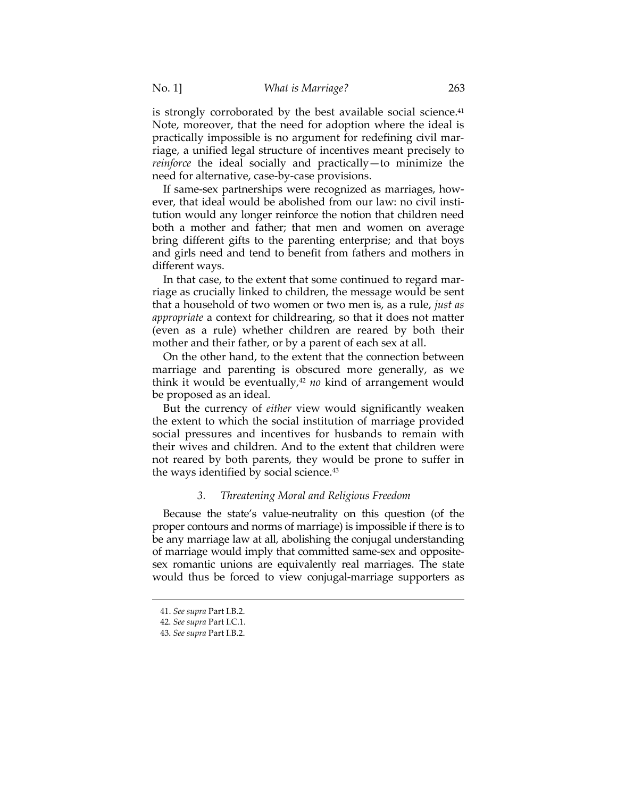is strongly corroborated by the best available social science.<sup>41</sup> Note, moreover, that the need for adoption where the ideal is practically impossible is no argument for redefining civil mar‐ riage, a unified legal structure of incentives meant precisely to *reinforce* the ideal socially and practically—to minimize the need for alternative, case‐by‐case provisions.

If same‐sex partnerships were recognized as marriages, how‐ ever, that ideal would be abolished from our law: no civil institution would any longer reinforce the notion that children need both a mother and father; that men and women on average bring different gifts to the parenting enterprise; and that boys and girls need and tend to benefit from fathers and mothers in different ways.

In that case, to the extent that some continued to regard marriage as crucially linked to children, the message would be sent that a household of two women or two men is, as a rule, *just as appropriate* a context for childrearing, so that it does not matter (even as a rule) whether children are reared by both their mother and their father, or by a parent of each sex at all.

On the other hand, to the extent that the connection between marriage and parenting is obscured more generally, as we think it would be eventually,<sup>42</sup> no kind of arrangement would be proposed as an ideal.

But the currency of *either* view would significantly weaken the extent to which the social institution of marriage provided social pressures and incentives for husbands to remain with their wives and children. And to the extent that children were not reared by both parents, they would be prone to suffer in the ways identified by social science.<sup>43</sup>

### *3. Threatening Moral and Religious Freedom*

Because the state's value‐neutrality on this question (of the proper contours and norms of marriage) is impossible if there is to be any marriage law at all, abolishing the conjugal understanding of marriage would imply that committed same‐sex and opposite‐ sex romantic unions are equivalently real marriages. The state would thus be forced to view conjugal‐marriage supporters as

<sup>41.</sup> *See supra* Part I.B.2.

<sup>42.</sup> *See supra* Part I.C.1.

<sup>43.</sup> *See supra* Part I.B.2.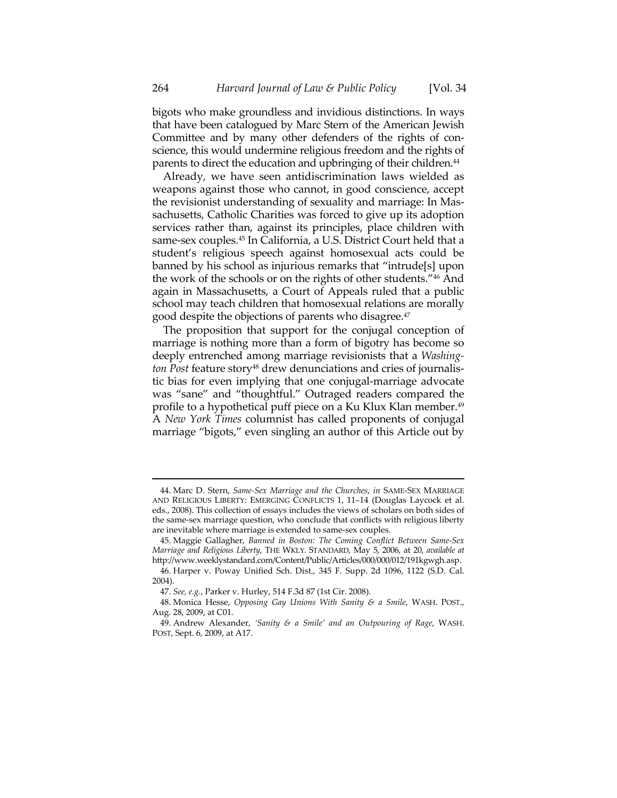bigots who make groundless and invidious distinctions. In ways that have been catalogued by Marc Stern of the American Jewish Committee and by many other defenders of the rights of con‐ science, this would undermine religious freedom and the rights of parents to direct the education and upbringing of their children.<sup>44</sup>

Already, we have seen antidiscrimination laws wielded as weapons against those who cannot, in good conscience, accept the revisionist understanding of sexuality and marriage: In Massachusetts, Catholic Charities was forced to give up its adoption services rather than, against its principles, place children with same-sex couples.<sup>45</sup> In California, a U.S. District Court held that a student's religious speech against homosexual acts could be banned by his school as injurious remarks that "intrude[s] upon the work of the schools or on the rights of other students."46 And again in Massachusetts, a Court of Appeals ruled that a public school may teach children that homosexual relations are morally good despite the objections of parents who disagree.47

The proposition that support for the conjugal conception of marriage is nothing more than a form of bigotry has become so deeply entrenched among marriage revisionists that a *Washing‐ ton Post* feature story<sup>48</sup> drew denunciations and cries of journalis– tic bias for even implying that one conjugal‐marriage advocate was "sane" and "thoughtful." Outraged readers compared the profile to a hypothetical puff piece on a Ku Klux Klan member.<sup>49</sup> A *New York Times* columnist has called proponents of conjugal marriage "bigots," even singling an author of this Article out by

<sup>44.</sup> Marc D. Stern, *Same‐Sex Marriage and the Churches*, *in* SAME‐SEX MARRIAGE AND RELIGIOUS LIBERTY: EMERGING CONFLICTS 1, 11-14 (Douglas Laycock et al. eds., 2008). This collection of essays includes the views of scholars on both sides of the same‐sex marriage question, who conclude that conflicts with religious liberty are inevitable where marriage is extended to same‐sex couples.

<sup>45.</sup> Maggie Gallagher, *Banned in Boston: The Coming Conflict Between Same‐Sex Marriage and Religious Liberty*, THE WKLY. STANDARD, May 5, 2006, at 20, *available at* http://www.weeklystandard.com/Content/Public/Articles/000/000/012/191kgwgh.asp.

<sup>46.</sup> Harper v. Poway Unified Sch. Dist., 345 F. Supp. 2d 1096, 1122 (S.D. Cal. 2004).

<sup>47.</sup> *See, e.g.*, Parker v. Hurley, 514 F.3d 87 (1st Cir. 2008).

<sup>48.</sup> Monica Hesse, *Opposing Gay Unions With Sanity & a Smile*, WASH. POST., Aug. 28, 2009, at C01.

<sup>49.</sup> Andrew Alexander, *'Sanity & a Smile' and an Outpouring of Rage*, WASH. POST, Sept. 6, 2009, at A17.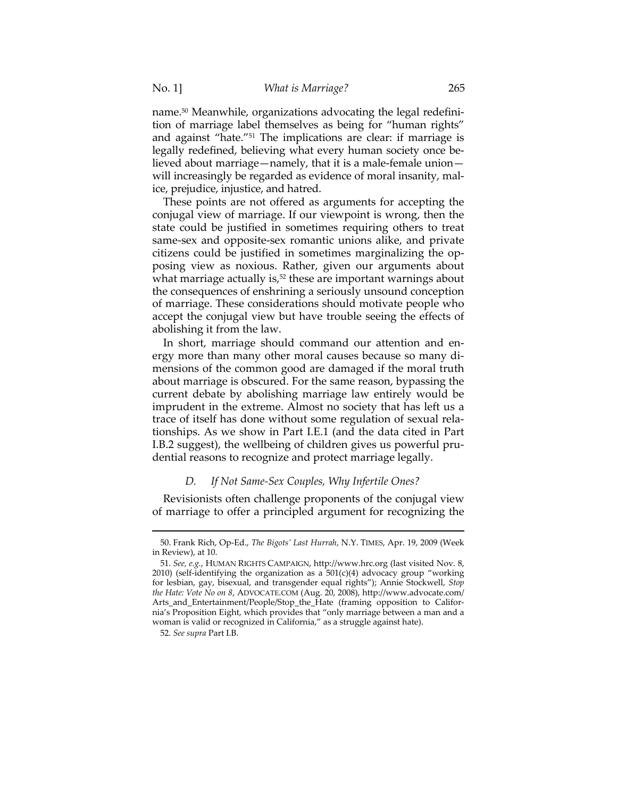name.<sup>50</sup> Meanwhile, organizations advocating the legal redefinition of marriage label themselves as being for "human rights" and against "hate."51 The implications are clear: if marriage is legally redefined, believing what every human society once be‐ lieved about marriage—namely, that it is a male‐female union will increasingly be regarded as evidence of moral insanity, malice, prejudice, injustice, and hatred.

These points are not offered as arguments for accepting the conjugal view of marriage. If our viewpoint is wrong, then the state could be justified in sometimes requiring others to treat same‐sex and opposite‐sex romantic unions alike, and private citizens could be justified in sometimes marginalizing the op‐ posing view as noxious. Rather, given our arguments about what marriage actually is, $52$  these are important warnings about the consequences of enshrining a seriously unsound conception of marriage. These considerations should motivate people who accept the conjugal view but have trouble seeing the effects of abolishing it from the law.

In short, marriage should command our attention and en‐ ergy more than many other moral causes because so many di‐ mensions of the common good are damaged if the moral truth about marriage is obscured. For the same reason, bypassing the current debate by abolishing marriage law entirely would be imprudent in the extreme. Almost no society that has left us a trace of itself has done without some regulation of sexual rela‐ tionships. As we show in Part I.E.1 (and the data cited in Part I.B.2 suggest), the wellbeing of children gives us powerful pru‐ dential reasons to recognize and protect marriage legally.

# *D. If Not Same‐Sex Couples, Why Infertile Ones?*

Revisionists often challenge proponents of the conjugal view of marriage to offer a principled argument for recognizing the

 50. Frank Rich, Op‐Ed., *The Bigots' Last Hurrah*, N.Y. TIMES, Apr. 19, 2009 (Week in Review), at 10.

<sup>51.</sup> *See, e.g.*, HUMAN RIGHTS CAMPAIGN, http://www.hrc.org (last visited Nov. 8, 2010) (self-identifying the organization as a  $501(c)(4)$  advocacy group "working for lesbian, gay, bisexual, and transgender equal rights"); Annie Stockwell, *Stop the Hate: Vote No on 8*, ADVOCATE.COM (Aug. 20, 2008), http://www.advocate.com/ Arts\_and\_Entertainment/People/Stop\_the\_Hate (framing opposition to Califor‐ nia's Proposition Eight, which provides that "only marriage between a man and a woman is valid or recognized in California," as a struggle against hate).

<sup>52.</sup> *See supra* Part I.B.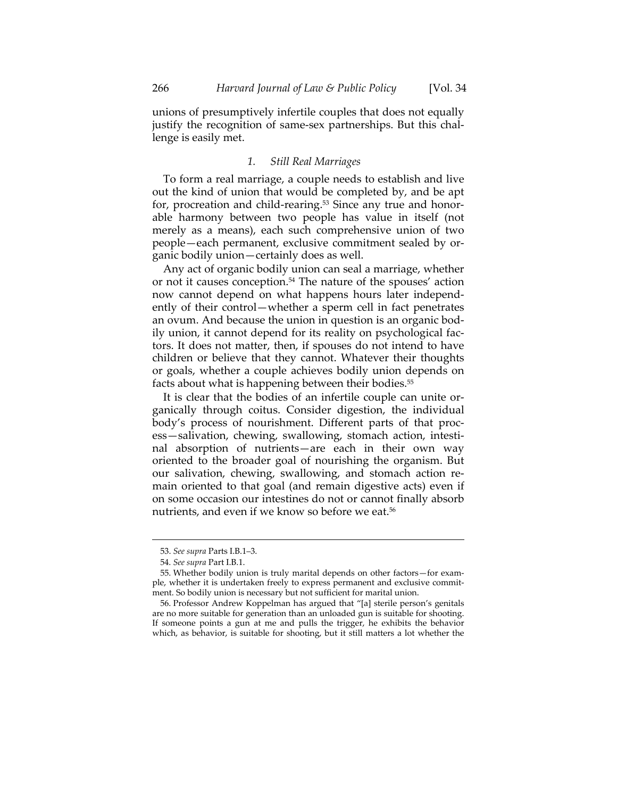unions of presumptively infertile couples that does not equally justify the recognition of same‐sex partnerships. But this chal‐ lenge is easily met.

# *1. Still Real Marriages*

To form a real marriage, a couple needs to establish and live out the kind of union that would be completed by, and be apt for, procreation and child-rearing.<sup>53</sup> Since any true and honorable harmony between two people has value in itself (not merely as a means), each such comprehensive union of two people—each permanent, exclusive commitment sealed by or‐ ganic bodily union—certainly does as well.

Any act of organic bodily union can seal a marriage, whether or not it causes conception.<sup>54</sup> The nature of the spouses' action now cannot depend on what happens hours later independ‐ ently of their control—whether a sperm cell in fact penetrates an ovum. And because the union in question is an organic bod‐ ily union, it cannot depend for its reality on psychological fac‐ tors. It does not matter, then, if spouses do not intend to have children or believe that they cannot. Whatever their thoughts or goals, whether a couple achieves bodily union depends on facts about what is happening between their bodies.<sup>55</sup>

It is clear that the bodies of an infertile couple can unite or‐ ganically through coitus. Consider digestion, the individual body's process of nourishment. Different parts of that proc‐ ess—salivation, chewing, swallowing, stomach action, intesti‐ nal absorption of nutrients—are each in their own way oriented to the broader goal of nourishing the organism. But our salivation, chewing, swallowing, and stomach action re‐ main oriented to that goal (and remain digestive acts) even if on some occasion our intestines do not or cannot finally absorb nutrients, and even if we know so before we eat.<sup>56</sup>

<sup>53.</sup> *See supra* Parts I.B.1–3.

<sup>54.</sup> *See supra* Part I.B.1.

<sup>55.</sup> Whether bodily union is truly marital depends on other factors—for exam‐ ple, whether it is undertaken freely to express permanent and exclusive commitment. So bodily union is necessary but not sufficient for marital union.

<sup>56.</sup> Professor Andrew Koppelman has argued that "[a] sterile person's genitals are no more suitable for generation than an unloaded gun is suitable for shooting. If someone points a gun at me and pulls the trigger, he exhibits the behavior which, as behavior, is suitable for shooting, but it still matters a lot whether the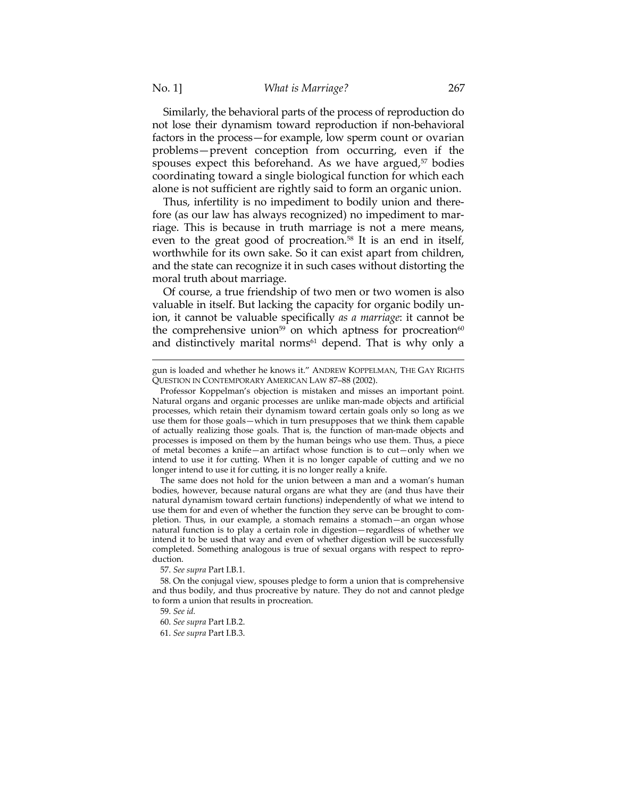Similarly, the behavioral parts of the process of reproduction do not lose their dynamism toward reproduction if non‐behavioral factors in the process—for example, low sperm count or ovarian problems—prevent conception from occurring, even if the spouses expect this beforehand. As we have argued, $57$  bodies coordinating toward a single biological function for which each alone is not sufficient are rightly said to form an organic union.

Thus, infertility is no impediment to bodily union and there‐ fore (as our law has always recognized) no impediment to marriage. This is because in truth marriage is not a mere means, even to the great good of procreation.<sup>58</sup> It is an end in itself, worthwhile for its own sake. So it can exist apart from children, and the state can recognize it in such cases without distorting the moral truth about marriage.

Of course, a true friendship of two men or two women is also valuable in itself. But lacking the capacity for organic bodily un‐ ion, it cannot be valuable specifically *as a marriage*: it cannot be the comprehensive union<sup>59</sup> on which aptness for procreation<sup>60</sup> and distinctively marital norms $61$  depend. That is why only a

The same does not hold for the union between a man and a woman's human bodies, however, because natural organs are what they are (and thus have their natural dynamism toward certain functions) independently of what we intend to use them for and even of whether the function they serve can be brought to completion. Thus, in our example, a stomach remains a stomach—an organ whose natural function is to play a certain role in digestion—regardless of whether we intend it to be used that way and even of whether digestion will be successfully completed. Something analogous is true of sexual organs with respect to repro‐ duction.

<sup>&</sup>lt;u> 1989 - Johann Stein, marwolaethau a bhann an t-Amhain an t-Amhain an t-Amhain an t-Amhain an t-Amhain an t-A</u> gun is loaded and whether he knows it." ANDREW KOPPELMAN, THE GAY RIGHTS QUESTION IN CONTEMPORARY AMERICAN LAW 87–88 (2002).

Professor Koppelman's objection is mistaken and misses an important point. Natural organs and organic processes are unlike man‐made objects and artificial processes, which retain their dynamism toward certain goals only so long as we use them for those goals—which in turn presupposes that we think them capable of actually realizing those goals. That is, the function of man‐made objects and processes is imposed on them by the human beings who use them. Thus, a piece of metal becomes a knife—an artifact whose function is to cut—only when we intend to use it for cutting. When it is no longer capable of cutting and we no longer intend to use it for cutting, it is no longer really a knife.

<sup>57.</sup> *See supra* Part I.B.1.

<sup>58.</sup> On the conjugal view, spouses pledge to form a union that is comprehensive and thus bodily, and thus procreative by nature. They do not and cannot pledge to form a union that results in procreation.

<sup>59.</sup> *See id.*

<sup>60.</sup> *See supra* Part I.B.2.

<sup>61.</sup> *See supra* Part I.B.3.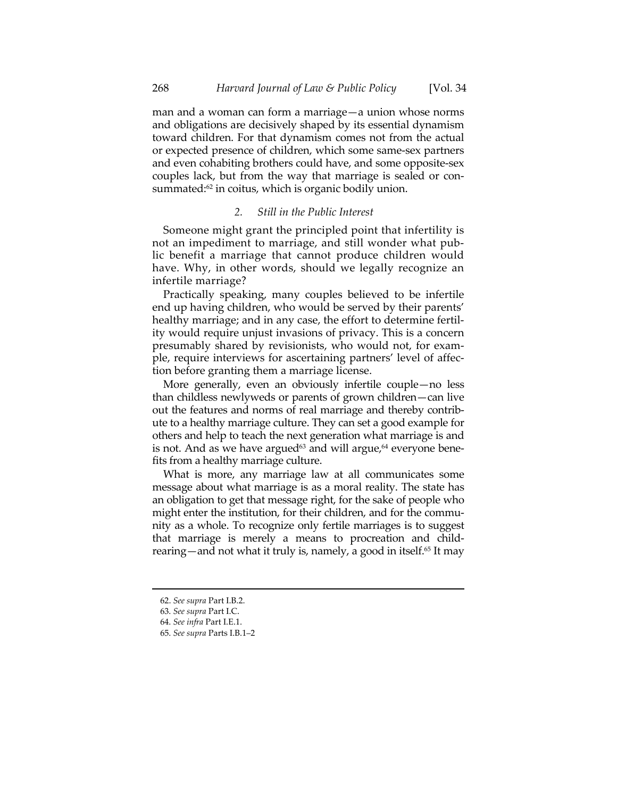man and a woman can form a marriage—a union whose norms and obligations are decisively shaped by its essential dynamism toward children. For that dynamism comes not from the actual or expected presence of children, which some same‐sex partners and even cohabiting brothers could have, and some opposite‐sex couples lack, but from the way that marriage is sealed or consummated:<sup>62</sup> in coitus, which is organic bodily union.

### *2. Still in the Public Interest*

Someone might grant the principled point that infertility is not an impediment to marriage, and still wonder what pub‐ lic benefit a marriage that cannot produce children would have. Why, in other words, should we legally recognize an infertile marriage?

Practically speaking, many couples believed to be infertile end up having children, who would be served by their parents' healthy marriage; and in any case, the effort to determine fertil‐ ity would require unjust invasions of privacy. This is a concern presumably shared by revisionists, who would not, for exam‐ ple, require interviews for ascertaining partners' level of affec‐ tion before granting them a marriage license.

More generally, even an obviously infertile couple—no less than childless newlyweds or parents of grown children—can live out the features and norms of real marriage and thereby contrib‐ ute to a healthy marriage culture. They can set a good example for others and help to teach the next generation what marriage is and is not. And as we have argued $63$  and will argue, $64$  everyone benefits from a healthy marriage culture.

What is more, any marriage law at all communicates some message about what marriage is as a moral reality. The state has an obligation to get that message right, for the sake of people who might enter the institution, for their children, and for the commu‐ nity as a whole. To recognize only fertile marriages is to suggest that marriage is merely a means to procreation and child‐ rearing—and not what it truly is, namely, a good in itself.<sup>65</sup> It may

<sup>62.</sup> *See supra* Part I.B.2.

<sup>63.</sup> *See supra* Part I.C.

<sup>64.</sup> *See infra* Part I.E.1.

<sup>65.</sup> *See supra* Parts I.B.1–2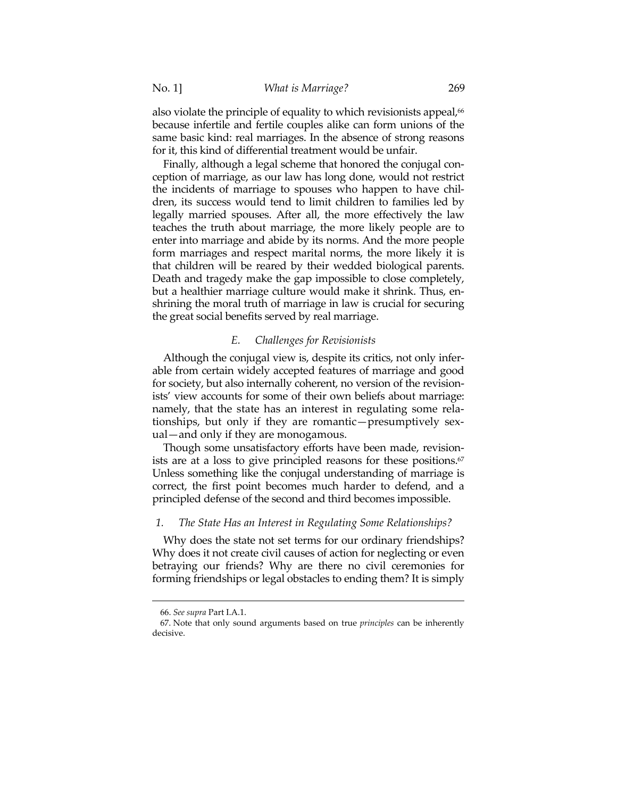# No. 1] *What is Marriage?* 269

also violate the principle of equality to which revisionists appeal,<sup>66</sup> because infertile and fertile couples alike can form unions of the same basic kind: real marriages. In the absence of strong reasons for it, this kind of differential treatment would be unfair.

Finally, although a legal scheme that honored the conjugal conception of marriage, as our law has long done, would not restrict the incidents of marriage to spouses who happen to have chil‐ dren, its success would tend to limit children to families led by legally married spouses. After all, the more effectively the law teaches the truth about marriage, the more likely people are to enter into marriage and abide by its norms. And the more people form marriages and respect marital norms, the more likely it is that children will be reared by their wedded biological parents. Death and tragedy make the gap impossible to close completely, but a healthier marriage culture would make it shrink. Thus, en‐ shrining the moral truth of marriage in law is crucial for securing the great social benefits served by real marriage.

### *E. Challenges for Revisionists*

Although the conjugal view is, despite its critics, not only infer‐ able from certain widely accepted features of marriage and good for society, but also internally coherent, no version of the revisionists' view accounts for some of their own beliefs about marriage: namely, that the state has an interest in regulating some rela‐ tionships, but only if they are romantic—presumptively sex‐ ual—and only if they are monogamous.

Though some unsatisfactory efforts have been made, revision‐ ists are at a loss to give principled reasons for these positions.<sup>67</sup> Unless something like the conjugal understanding of marriage is correct, the first point becomes much harder to defend, and a principled defense of the second and third becomes impossible.

### *1. The State Has an Interest in Regulating Some Relationships?*

Why does the state not set terms for our ordinary friendships? Why does it not create civil causes of action for neglecting or even betraying our friends? Why are there no civil ceremonies for forming friendships or legal obstacles to ending them? It is simply

<sup>66.</sup> *See supra* Part I.A.1.

<sup>67.</sup> Note that only sound arguments based on true *principles* can be inherently decisive.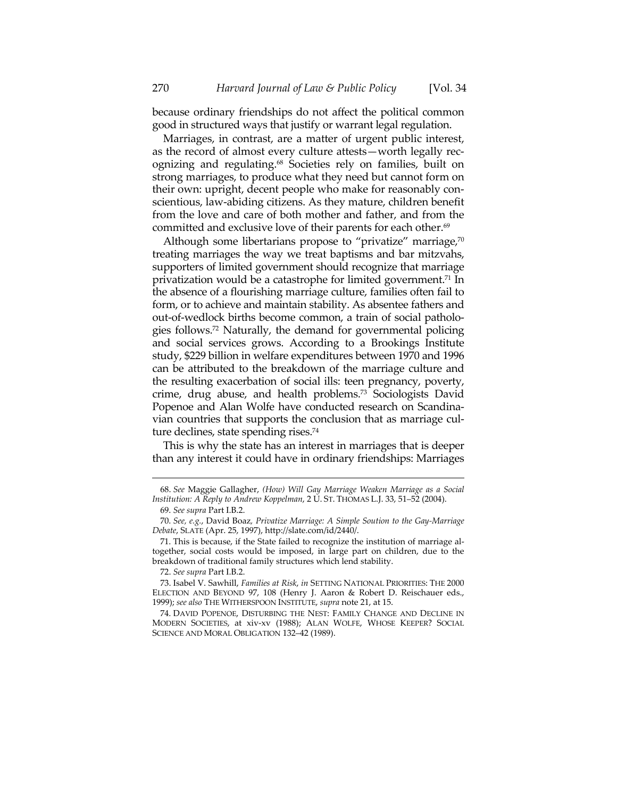because ordinary friendships do not affect the political common good in structured ways that justify or warrant legal regulation.

Marriages, in contrast, are a matter of urgent public interest, as the record of almost every culture attests—worth legally rec‐ ognizing and regulating.68 Societies rely on families, built on strong marriages, to produce what they need but cannot form on their own: upright, decent people who make for reasonably con‐ scientious, law‐abiding citizens. As they mature, children benefit from the love and care of both mother and father, and from the committed and exclusive love of their parents for each other.<sup>69</sup>

Although some libertarians propose to "privatize" marriage,<sup>70</sup> treating marriages the way we treat baptisms and bar mitzvahs, supporters of limited government should recognize that marriage privatization would be a catastrophe for limited government.71 In the absence of a flourishing marriage culture, families often fail to form, or to achieve and maintain stability. As absentee fathers and out-of-wedlock births become common, a train of social pathologies follows.72 Naturally, the demand for governmental policing and social services grows. According to a Brookings Institute study, \$229 billion in welfare expenditures between 1970 and 1996 can be attributed to the breakdown of the marriage culture and the resulting exacerbation of social ills: teen pregnancy, poverty, crime, drug abuse, and health problems.73 Sociologists David Popenoe and Alan Wolfe have conducted research on Scandina‐ vian countries that supports the conclusion that as marriage cul‐ ture declines, state spending rises.<sup>74</sup>

This is why the state has an interest in marriages that is deeper than any interest it could have in ordinary friendships: Marriages

<sup>&</sup>lt;u> 1989 - Johann Stein, marwolaethau a bhann an t-Amhain an t-Amhain an t-Amhain an t-Amhain an t-Amhain an t-A</u> 68. *See* Maggie Gallagher, *(How) Will Gay Marriage Weaken Marriage as a Social Institution: A Reply to Andrew Koppelman*, 2 U. ST. THOMAS L.J. 33, 51–52 (2004).

<sup>69.</sup> *See supra* Part I.B.2.

<sup>70.</sup> *See, e.g.*, David Boaz*, Privatize Marriage: A Simple Soution to the Gay‐Marriage Debate*, SLATE (Apr. 25, 1997), http://slate.com/id/2440/.

<sup>71.</sup> This is because, if the State failed to recognize the institution of marriage al‐ together, social costs would be imposed, in large part on children, due to the breakdown of traditional family structures which lend stability.

<sup>72.</sup> *See supra* Part I.B.2.

<sup>73.</sup> Isabel V. Sawhill, *Families at Risk*, *in* SETTING NATIONAL PRIORITIES: THE 2000 ELECTION AND BEYOND 97, 108 (Henry J. Aaron & Robert D. Reischauer eds., 1999); *see also* THE WITHERSPOON INSTITUTE, *supra* note 21, at 15.

<sup>74.</sup> DAVID POPENOE, DISTURBING THE NEST: FAMILY CHANGE AND DECLINE IN MODERN SOCIETIES, at xiv‐xv (1988); ALAN WOLFE, WHOSE KEEPER? SOCIAL SCIENCE AND MORAL OBLIGATION 132–42 (1989).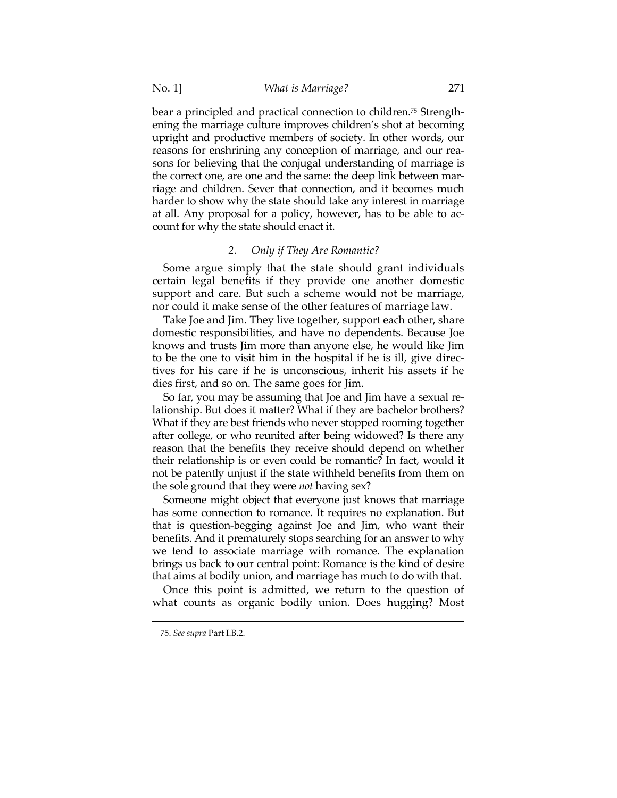bear a principled and practical connection to children.<sup>75</sup> Strengthening the marriage culture improves children's shot at becoming upright and productive members of society. In other words, our reasons for enshrining any conception of marriage, and our rea sons for believing that the conjugal understanding of marriage is the correct one, are one and the same: the deep link between marriage and children. Sever that connection, and it becomes much harder to show why the state should take any interest in marriage at all. Any proposal for a policy, however, has to be able to ac‐ count for why the state should enact it.

## *2. Only if They Are Romantic?*

Some argue simply that the state should grant individuals certain legal benefits if they provide one another domestic support and care. But such a scheme would not be marriage, nor could it make sense of the other features of marriage law.

Take Joe and Jim. They live together, support each other, share domestic responsibilities, and have no dependents. Because Joe knows and trusts Jim more than anyone else, he would like Jim to be the one to visit him in the hospital if he is ill, give direc‐ tives for his care if he is unconscious, inherit his assets if he dies first, and so on. The same goes for Jim.

So far, you may be assuming that Joe and Jim have a sexual re‐ lationship. But does it matter? What if they are bachelor brothers? What if they are best friends who never stopped rooming together after college, or who reunited after being widowed? Is there any reason that the benefits they receive should depend on whether their relationship is or even could be romantic? In fact, would it not be patently unjust if the state withheld benefits from them on the sole ground that they were *not* having sex?

Someone might object that everyone just knows that marriage has some connection to romance. It requires no explanation. But that is question‐begging against Joe and Jim, who want their benefits. And it prematurely stops searching for an answer to why we tend to associate marriage with romance. The explanation brings us back to our central point: Romance is the kind of desire that aims at bodily union, and marriage has much to do with that.

Once this point is admitted, we return to the question of what counts as organic bodily union. Does hugging? Most

<sup>75.</sup> *See supra* Part I.B.2.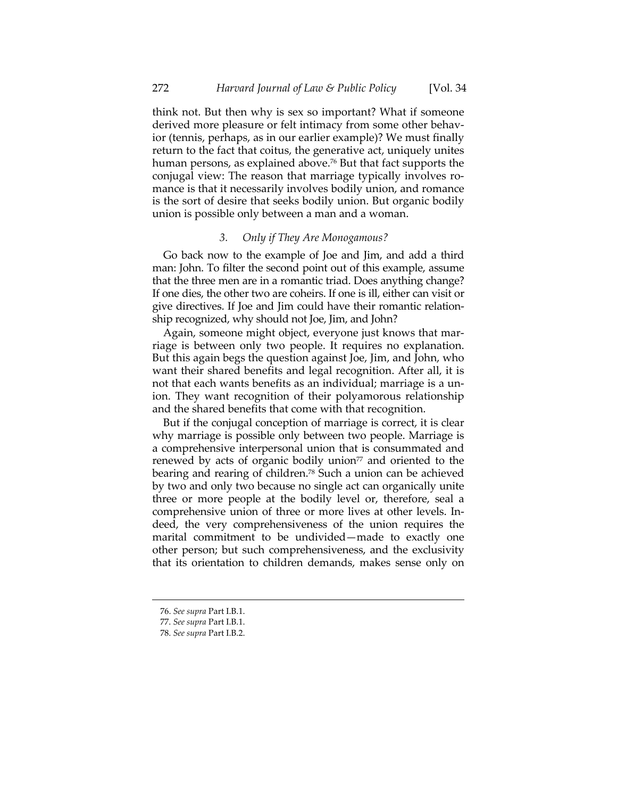think not. But then why is sex so important? What if someone derived more pleasure or felt intimacy from some other behavior (tennis, perhaps, as in our earlier example)? We must finally return to the fact that coitus, the generative act, uniquely unites human persons, as explained above.<sup>76</sup> But that fact supports the conjugal view: The reason that marriage typically involves romance is that it necessarily involves bodily union, and romance is the sort of desire that seeks bodily union. But organic bodily union is possible only between a man and a woman.

# *3. Only if They Are Monogamous?*

Go back now to the example of Joe and Jim, and add a third man: John. To filter the second point out of this example, assume that the three men are in a romantic triad. Does anything change? If one dies, the other two are coheirs. If one is ill, either can visit or give directives. If Joe and Jim could have their romantic relation‐ ship recognized, why should not Joe, Jim, and John?

Again, someone might object, everyone just knows that mar‐ riage is between only two people. It requires no explanation. But this again begs the question against Joe, Jim, and John, who want their shared benefits and legal recognition. After all, it is not that each wants benefits as an individual; marriage is a un‐ ion. They want recognition of their polyamorous relationship and the shared benefits that come with that recognition.

But if the conjugal conception of marriage is correct, it is clear why marriage is possible only between two people. Marriage is a comprehensive interpersonal union that is consummated and renewed by acts of organic bodily union<sup> $\pi$ </sup> and oriented to the bearing and rearing of children.78 Such a union can be achieved by two and only two because no single act can organically unite three or more people at the bodily level or, therefore, seal a comprehensive union of three or more lives at other levels. In‐ deed, the very comprehensiveness of the union requires the marital commitment to be undivided—made to exactly one other person; but such comprehensiveness, and the exclusivity that its orientation to children demands, makes sense only on

<sup>76.</sup> *See supra* Part I.B.1.

<sup>77.</sup> *See supra* Part I.B.1.

<sup>78.</sup> *See supra* Part I.B.2.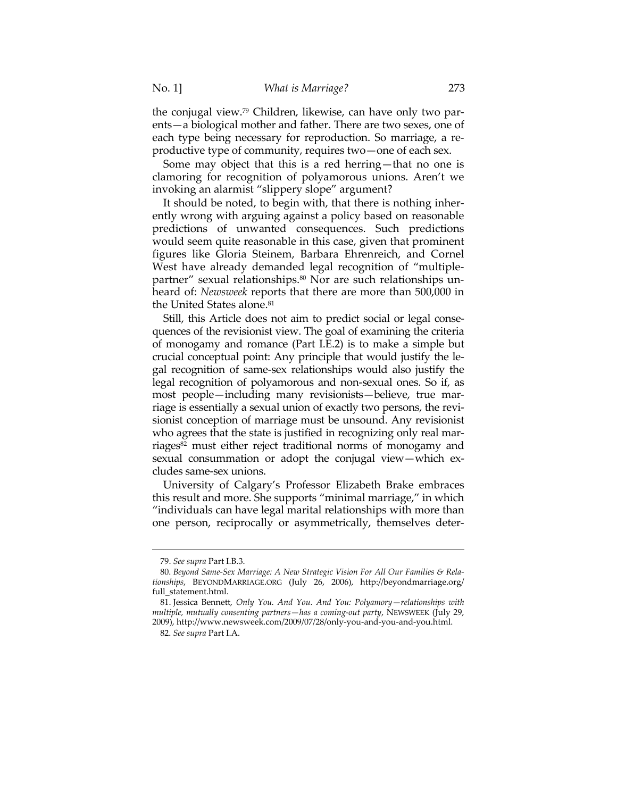the conjugal view.<sup>79</sup> Children, likewise, can have only two parents—a biological mother and father. There are two sexes, one of each type being necessary for reproduction. So marriage, a re‐ productive type of community, requires two—one of each sex.

Some may object that this is a red herring—that no one is clamoring for recognition of polyamorous unions. Aren't we invoking an alarmist "slippery slope" argument?

It should be noted, to begin with, that there is nothing inher‐ ently wrong with arguing against a policy based on reasonable predictions of unwanted consequences. Such predictions would seem quite reasonable in this case, given that prominent figures like Gloria Steinem, Barbara Ehrenreich, and Cornel West have already demanded legal recognition of "multiplepartner" sexual relationships.<sup>80</sup> Nor are such relationships unheard of: *Newsweek* reports that there are more than 500,000 in the United States alone.<sup>81</sup>

Still, this Article does not aim to predict social or legal conse‐ quences of the revisionist view. The goal of examining the criteria of monogamy and romance (Part I.E.2) is to make a simple but crucial conceptual point: Any principle that would justify the le‐ gal recognition of same‐sex relationships would also justify the legal recognition of polyamorous and non‐sexual ones. So if, as most people—including many revisionists—believe, true mar‐ riage is essentially a sexual union of exactly two persons, the revi‐ sionist conception of marriage must be unsound. Any revisionist who agrees that the state is justified in recognizing only real marriages<sup>82</sup> must either reject traditional norms of monogamy and sexual consummation or adopt the conjugal view—which excludes same‐sex unions.

University of Calgary's Professor Elizabeth Brake embraces this result and more. She supports "minimal marriage," in which "individuals can have legal marital relationships with more than one person, reciprocally or asymmetrically, themselves deter‐

<sup>79.</sup> *See supra* Part I.B.3.

<sup>80.</sup> *Beyond Same‐Sex Marriage: A New Strategic Vision For All Our Families & Rela‐ tionships*, BEYONDMARRIAGE.ORG (July 26, 2006), http://beyondmarriage.org/ full\_statement.html.

<sup>81.</sup> Jessica Bennett, *Only You. And You. And You: Polyamory—relationships with multiple, mutually consenting partners—has a coming‐out party*, NEWSWEEK (July 29, 2009), http://www.newsweek.com/2009/07/28/only‐you‐and‐you‐and‐you.html.

<sup>82.</sup> *See supra* Part I.A.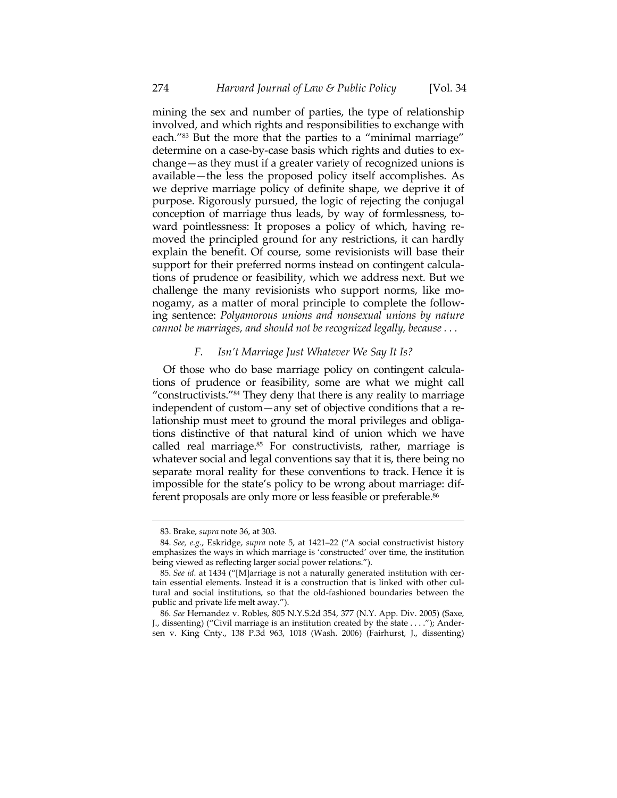mining the sex and number of parties, the type of relationship involved, and which rights and responsibilities to exchange with each."<sup>83</sup> But the more that the parties to a "minimal marriage" determine on a case‐by‐case basis which rights and duties to ex‐ change—as they must if a greater variety of recognized unions is available—the less the proposed policy itself accomplishes. As we deprive marriage policy of definite shape, we deprive it of purpose. Rigorously pursued, the logic of rejecting the conjugal conception of marriage thus leads, by way of formlessness, to‐ ward pointlessness: It proposes a policy of which, having removed the principled ground for any restrictions, it can hardly explain the benefit. Of course, some revisionists will base their support for their preferred norms instead on contingent calcula‐ tions of prudence or feasibility, which we address next. But we challenge the many revisionists who support norms, like mo‐ nogamy, as a matter of moral principle to complete the follow‐ ing sentence: *Polyamorous unions and nonsexual unions by nature cannot be marriages, and should not be recognized legally, because . . .*

### *F. Isn't Marriage Just Whatever We Say It Is?*

Of those who do base marriage policy on contingent calcula‐ tions of prudence or feasibility, some are what we might call "constructivists."84 They deny that there is any reality to marriage independent of custom—any set of objective conditions that a re‐ lationship must meet to ground the moral privileges and obliga‐ tions distinctive of that natural kind of union which we have called real marriage.<sup>85</sup> For constructivists, rather, marriage is whatever social and legal conventions say that it is, there being no separate moral reality for these conventions to track. Hence it is impossible for the state's policy to be wrong about marriage: dif‐ ferent proposals are only more or less feasible or preferable.<sup>86</sup>

<sup>83.</sup> Brake, *supra* note 36, at 303.

<sup>84.</sup> *See, e.g.*, Eskridge, *supra* note 5, at 1421–22 ("A social constructivist history emphasizes the ways in which marriage is 'constructed' over time, the institution being viewed as reflecting larger social power relations.").

<sup>85.</sup> *See id.* at 1434 ("[M]arriage is not a naturally generated institution with cer‐ tain essential elements. Instead it is a construction that is linked with other cultural and social institutions, so that the old‐fashioned boundaries between the public and private life melt away.").

<sup>86.</sup> *See* Hernandez v. Robles, 805 N.Y.S.2d 354, 377 (N.Y. App. Div. 2005) (Saxe, J., dissenting) ("Civil marriage is an institution created by the state . . . ."); Ander‐ sen v. King Cnty., 138 P.3d 963, 1018 (Wash. 2006) (Fairhurst, J., dissenting)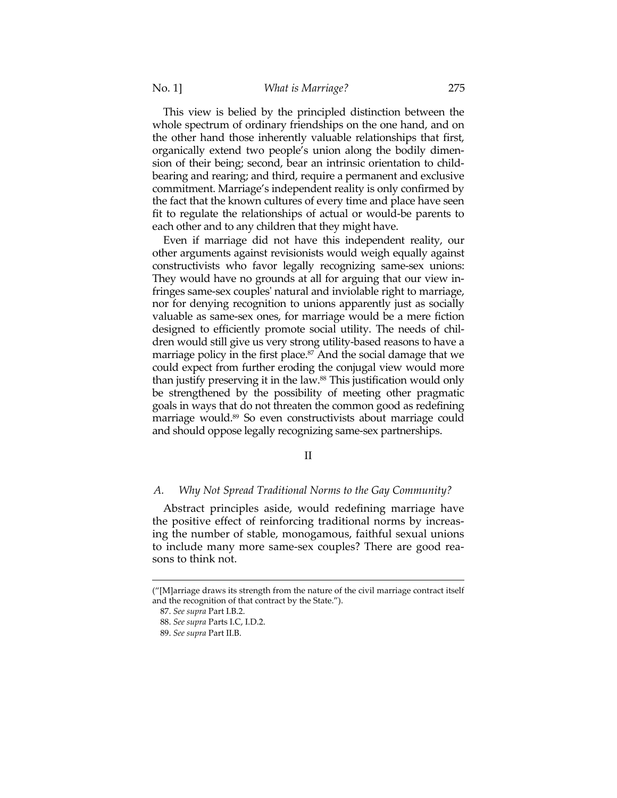This view is belied by the principled distinction between the whole spectrum of ordinary friendships on the one hand, and on the other hand those inherently valuable relationships that first, organically extend two people's union along the bodily dimen‐ sion of their being; second, bear an intrinsic orientation to child‐ bearing and rearing; and third, require a permanent and exclusive commitment. Marriage's independent reality is only confirmed by the fact that the known cultures of every time and place have seen fit to regulate the relationships of actual or would‐be parents to each other and to any children that they might have.

Even if marriage did not have this independent reality, our other arguments against revisionists would weigh equally against constructivists who favor legally recognizing same‐sex unions: They would have no grounds at all for arguing that our view in‐ fringes same‐sex couplesʹ natural and inviolable right to marriage, nor for denying recognition to unions apparently just as socially valuable as same‐sex ones, for marriage would be a mere fiction designed to efficiently promote social utility. The needs of chil‐ dren would still give us very strong utility‐based reasons to have a marriage policy in the first place.<sup>87</sup> And the social damage that we could expect from further eroding the conjugal view would more than justify preserving it in the law.88 This justification would only be strengthened by the possibility of meeting other pragmatic goals in ways that do not threaten the common good as redefining marriage would.89 So even constructivists about marriage could and should oppose legally recognizing same‐sex partnerships.

### II

## *A. Why Not Spread Traditional Norms to the Gay Community?*

Abstract principles aside, would redefining marriage have the positive effect of reinforcing traditional norms by increas‐ ing the number of stable, monogamous, faithful sexual unions to include many more same‐sex couples? There are good rea‐ sons to think not.

 ("[M]arriage draws its strength from the nature of the civil marriage contract itself and the recognition of that contract by the State.").

<sup>87.</sup> *See supra* Part I.B.2.

<sup>88.</sup> *See supra* Parts I.C, I.D.2.

<sup>89.</sup> *See supra* Part II.B.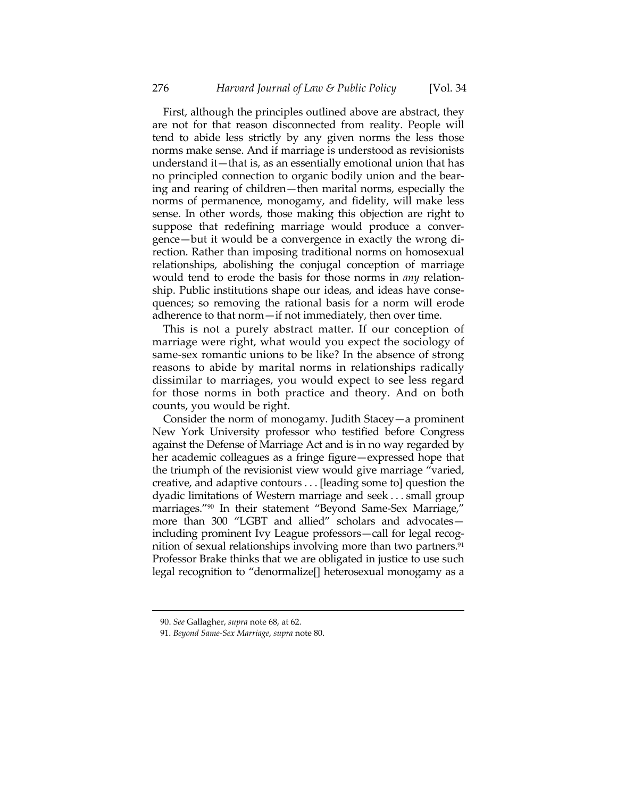First, although the principles outlined above are abstract, they are not for that reason disconnected from reality. People will tend to abide less strictly by any given norms the less those norms make sense. And if marriage is understood as revisionists understand it—that is, as an essentially emotional union that has no principled connection to organic bodily union and the bear‐ ing and rearing of children—then marital norms, especially the norms of permanence, monogamy, and fidelity, will make less sense. In other words, those making this objection are right to suppose that redefining marriage would produce a convergence—but it would be a convergence in exactly the wrong di‐ rection. Rather than imposing traditional norms on homosexual relationships, abolishing the conjugal conception of marriage would tend to erode the basis for those norms in *any* relation‐ ship. Public institutions shape our ideas, and ideas have conse‐ quences; so removing the rational basis for a norm will erode adherence to that norm—if not immediately, then over time.

This is not a purely abstract matter. If our conception of marriage were right, what would you expect the sociology of same-sex romantic unions to be like? In the absence of strong reasons to abide by marital norms in relationships radically dissimilar to marriages, you would expect to see less regard for those norms in both practice and theory. And on both counts, you would be right.

Consider the norm of monogamy. Judith Stacey—a prominent New York University professor who testified before Congress against the Defense of Marriage Act and is in no way regarded by her academic colleagues as a fringe figure—expressed hope that the triumph of the revisionist view would give marriage "varied, creative, and adaptive contours . . . [leading some to] question the dyadic limitations of Western marriage and seek . . . small group marriages."<sup>90</sup> In their statement "Beyond Same-Sex Marriage," more than 300 "LGBT and allied" scholars and advocates including prominent Ivy League professors—call for legal recog‐ nition of sexual relationships involving more than two partners.<sup>91</sup> Professor Brake thinks that we are obligated in justice to use such legal recognition to "denormalize[] heterosexual monogamy as a

<sup>90.</sup> *See* Gallagher, *supra* note 68, at 62.

<sup>91.</sup> *Beyond Same‐Sex Marriage*, *supra* note 80.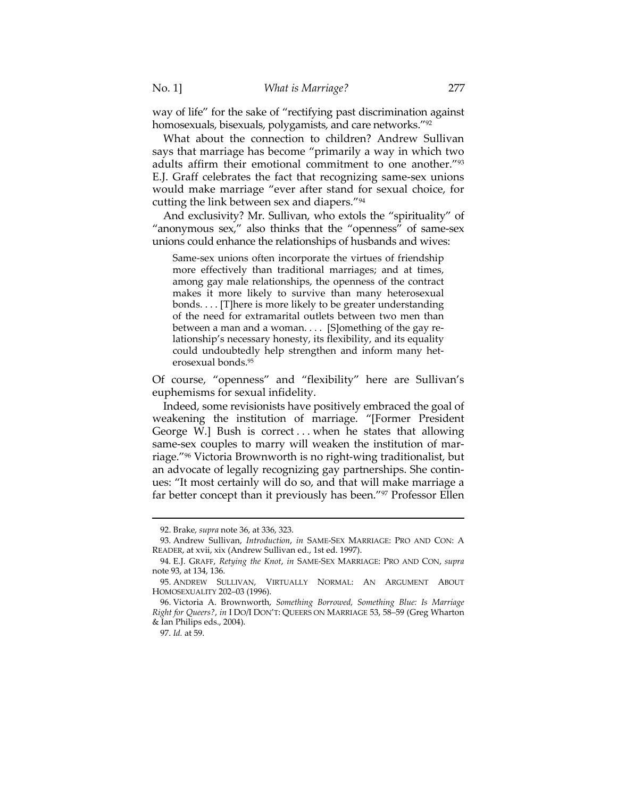way of life" for the sake of "rectifying past discrimination against homosexuals, bisexuals, polygamists, and care networks."92

What about the connection to children? Andrew Sullivan says that marriage has become "primarily a way in which two adults affirm their emotional commitment to one another."93 E.J. Graff celebrates the fact that recognizing same‐sex unions would make marriage "ever after stand for sexual choice, for cutting the link between sex and diapers."94

And exclusivity? Mr. Sullivan, who extols the "spirituality" of "anonymous sex," also thinks that the "openness" of same‐sex unions could enhance the relationships of husbands and wives:

Same‐sex unions often incorporate the virtues of friendship more effectively than traditional marriages; and at times, among gay male relationships, the openness of the contract makes it more likely to survive than many heterosexual bonds. . . . [T]here is more likely to be greater understanding of the need for extramarital outlets between two men than between a man and a woman. . . . [S]omething of the gay relationship's necessary honesty, its flexibility, and its equality could undoubtedly help strengthen and inform many het‐ erosexual bonds.95

Of course, "openness" and "flexibility" here are Sullivan's euphemisms for sexual infidelity.

Indeed, some revisionists have positively embraced the goal of weakening the institution of marriage. "[Former President George W.] Bush is correct . . . when he states that allowing same-sex couples to marry will weaken the institution of marriage."96 Victoria Brownworth is no right‐wing traditionalist, but an advocate of legally recognizing gay partnerships. She contin‐ ues: "It most certainly will do so, and that will make marriage a far better concept than it previously has been."97 Professor Ellen

<sup>92.</sup> Brake, *supra* note 36, at 336, 323.

<sup>93.</sup> Andrew Sullivan, *Introduction*, *in* SAME‐SEX MARRIAGE: PRO AND CON: A READER, at xvii, xix (Andrew Sullivan ed., 1st ed. 1997).

<sup>94.</sup> E.J. GRAFF, *Retying the Knot*, *in* SAME‐SEX MARRIAGE: PRO AND CON, *supra* note 93, at 134, 136.

<sup>95.</sup> ANDREW SULLIVAN, VIRTUALLY NORMAL: AN ARGUMENT ABOUT HOMOSEXUALITY 202–03 (1996).

<sup>96.</sup> Victoria A. Brownworth, *Something Borrowed, Something Blue: Is Marriage Right for Queers?*, *in* I DO/I DON'T: QUEERS ON MARRIAGE 53, 58–59 (Greg Wharton & Ian Philips eds., 2004).

<sup>97.</sup> *Id.* at 59.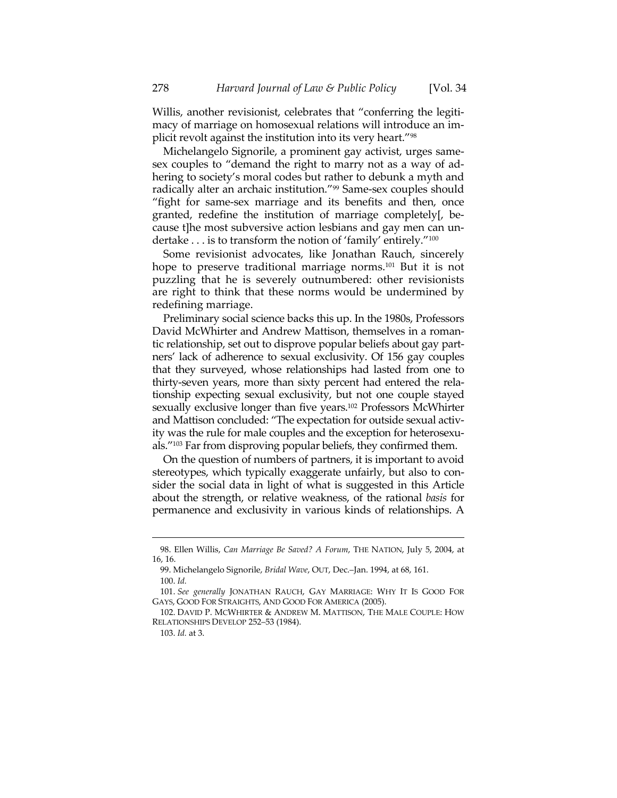Willis, another revisionist, celebrates that "conferring the legitimacy of marriage on homosexual relations will introduce an im‐ plicit revolt against the institution into its very heart."98

Michelangelo Signorile, a prominent gay activist, urges same‐ sex couples to "demand the right to marry not as a way of ad‐ hering to society's moral codes but rather to debunk a myth and radically alter an archaic institution."<sup>99</sup> Same-sex couples should "fight for same‐sex marriage and its benefits and then, once granted, redefine the institution of marriage completely[, be‐ cause t]he most subversive action lesbians and gay men can un‐ dertake . . . is to transform the notion of 'family' entirely."100

Some revisionist advocates, like Jonathan Rauch, sincerely hope to preserve traditional marriage norms.<sup>101</sup> But it is not puzzling that he is severely outnumbered: other revisionists are right to think that these norms would be undermined by redefining marriage.

Preliminary social science backs this up. In the 1980s, Professors David McWhirter and Andrew Mattison, themselves in a roman‐ tic relationship, set out to disprove popular beliefs about gay part‐ ners' lack of adherence to sexual exclusivity. Of 156 gay couples that they surveyed, whose relationships had lasted from one to thirty-seven years, more than sixty percent had entered the relationship expecting sexual exclusivity, but not one couple stayed sexually exclusive longer than five years.102 Professors McWhirter and Mattison concluded: "The expectation for outside sexual activity was the rule for male couples and the exception for heterosexu‐ als."103 Far from disproving popular beliefs, they confirmed them.

On the question of numbers of partners, it is important to avoid stereotypes, which typically exaggerate unfairly, but also to con‐ sider the social data in light of what is suggested in this Article about the strength, or relative weakness, of the rational *basis* for permanence and exclusivity in various kinds of relationships. A

 98. Ellen Willis, *Can Marriage Be Saved? A Forum*, THE NATION, July 5, 2004, at 16, 16.

<sup>99.</sup> Michelangelo Signorile, *Bridal Wave*, OUT, Dec.–Jan. 1994, at 68, 161. 100. *Id.*

<sup>101.</sup> *See generally* JONATHAN RAUCH, GAY MARRIAGE: WHY IT IS GOOD FOR GAYS, GOOD FOR STRAIGHTS, AND GOOD FOR AMERICA (2005).

<sup>102.</sup> DAVID P. MCWHIRTER & ANDREW M. MATTISON, THE MALE COUPLE: HOW RELATIONSHIPS DEVELOP 252–53 (1984).

<sup>103.</sup> *Id.* at 3.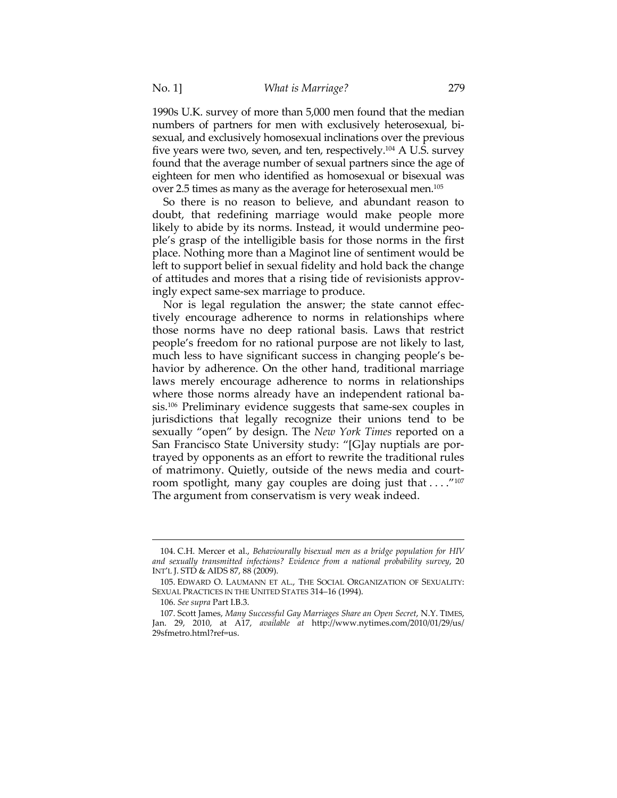1990s U.K. survey of more than 5,000 men found that the median numbers of partners for men with exclusively heterosexual, bisexual, and exclusively homosexual inclinations over the previous five years were two, seven, and ten, respectively.104 A U.S. survey found that the average number of sexual partners since the age of eighteen for men who identified as homosexual or bisexual was over 2.5 times as many as the average for heterosexual men.105

So there is no reason to believe, and abundant reason to doubt, that redefining marriage would make people more likely to abide by its norms. Instead, it would undermine peo‐ ple's grasp of the intelligible basis for those norms in the first place. Nothing more than a Maginot line of sentiment would be left to support belief in sexual fidelity and hold back the change of attitudes and mores that a rising tide of revisionists approv‐ ingly expect same‐sex marriage to produce.

Nor is legal regulation the answer; the state cannot effec‐ tively encourage adherence to norms in relationships where those norms have no deep rational basis. Laws that restrict people's freedom for no rational purpose are not likely to last, much less to have significant success in changing people's behavior by adherence. On the other hand, traditional marriage laws merely encourage adherence to norms in relationships where those norms already have an independent rational basis.<sup>106</sup> Preliminary evidence suggests that same-sex couples in jurisdictions that legally recognize their unions tend to be sexually "open" by design. The *New York Times* reported on a San Francisco State University study: "[G]ay nuptials are por‐ trayed by opponents as an effort to rewrite the traditional rules of matrimony. Quietly, outside of the news media and court‐ room spotlight, many gay couples are doing just that  $\dots$ ."<sup>107</sup> The argument from conservatism is very weak indeed.

<sup>104.</sup> C.H. Mercer et al., *Behaviourally bisexual men as a bridge population for HIV and sexually transmitted infections? Evidence from a national probability survey*, 20 INT'L J. STD & AIDS 87, 88 (2009).

<sup>105.</sup> EDWARD O. LAUMANN ET AL., THE SOCIAL ORGANIZATION OF SEXUALITY: SEXUAL PRACTICES IN THE UNITED STATES 314–16 (1994).

<sup>106.</sup> *See supra* Part I.B.3.

<sup>107.</sup> Scott James, *Many Successful Gay Marriages Share an Open Secret*, N.Y. TIMES, Jan. 29, 2010, at A17, *available at* http://www.nytimes.com/2010/01/29/us/ 29sfmetro.html?ref=us.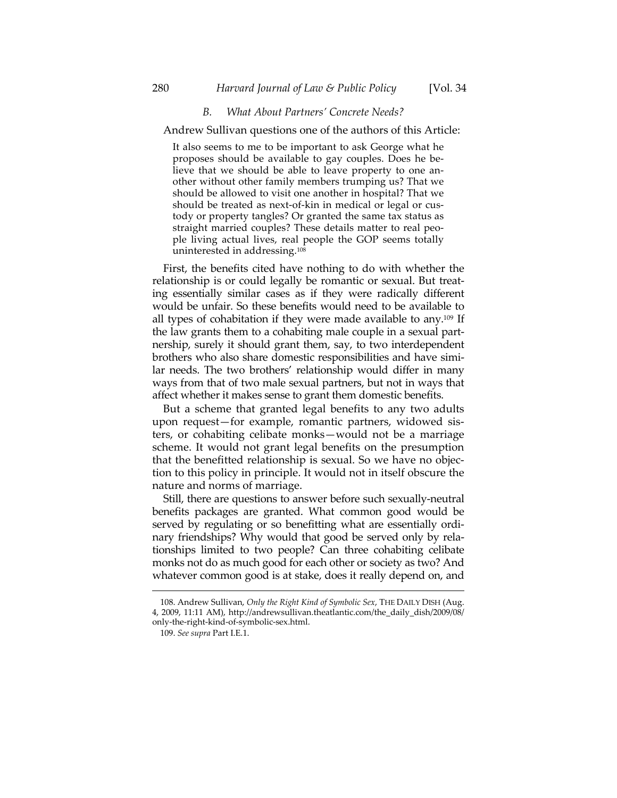#### *B. What About Partners' Concrete Needs?*

Andrew Sullivan questions one of the authors of this Article:

It also seems to me to be important to ask George what he proposes should be available to gay couples. Does he be‐ lieve that we should be able to leave property to one an‐ other without other family members trumping us? That we should be allowed to visit one another in hospital? That we should be treated as next-of-kin in medical or legal or custody or property tangles? Or granted the same tax status as straight married couples? These details matter to real peo‐ ple living actual lives, real people the GOP seems totally uninterested in addressing.<sup>108</sup>

First, the benefits cited have nothing to do with whether the relationship is or could legally be romantic or sexual. But treat‐ ing essentially similar cases as if they were radically different would be unfair. So these benefits would need to be available to all types of cohabitation if they were made available to any.<sup>109</sup> If the law grants them to a cohabiting male couple in a sexual part‐ nership, surely it should grant them, say, to two interdependent brothers who also share domestic responsibilities and have simi‐ lar needs. The two brothers' relationship would differ in many ways from that of two male sexual partners, but not in ways that affect whether it makes sense to grant them domestic benefits.

But a scheme that granted legal benefits to any two adults upon request—for example, romantic partners, widowed sis‐ ters, or cohabiting celibate monks—would not be a marriage scheme. It would not grant legal benefits on the presumption that the benefitted relationship is sexual. So we have no objec‐ tion to this policy in principle. It would not in itself obscure the nature and norms of marriage.

Still, there are questions to answer before such sexually‐neutral benefits packages are granted. What common good would be served by regulating or so benefitting what are essentially ordi‐ nary friendships? Why would that good be served only by rela‐ tionships limited to two people? Can three cohabiting celibate monks not do as much good for each other or society as two? And whatever common good is at stake, does it really depend on, and

<sup>108.</sup> Andrew Sullivan, *Only the Right Kind of Symbolic Sex*, THE DAILY DISH (Aug. 4, 2009, 11:11 AM), http://andrewsullivan.theatlantic.com/the\_daily\_dish/2009/08/ only‐the‐right‐kind‐of‐symbolic‐sex.html.

<sup>109.</sup> *See supra* Part I.E.1.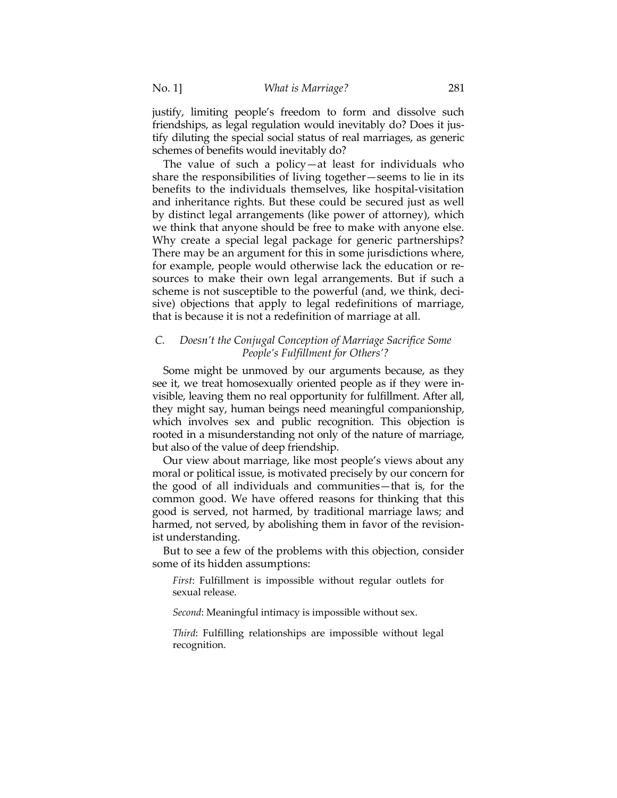justify, limiting people's freedom to form and dissolve such friendships, as legal regulation would inevitably do? Does it justify diluting the special social status of real marriages, as generic schemes of benefits would inevitably do?

The value of such a policy—at least for individuals who share the responsibilities of living together—seems to lie in its benefits to the individuals themselves, like hospital‐visitation and inheritance rights. But these could be secured just as well by distinct legal arrangements (like power of attorney), which we think that anyone should be free to make with anyone else. Why create a special legal package for generic partnerships? There may be an argument for this in some jurisdictions where, for example, people would otherwise lack the education or resources to make their own legal arrangements. But if such a scheme is not susceptible to the powerful (and, we think, deci‐ sive) objections that apply to legal redefinitions of marriage, that is because it is not a redefinition of marriage at all.

# *C. Doesn't the Conjugal Conception of Marriage Sacrifice Some People's Fulfillment for Others'?*

Some might be unmoved by our arguments because, as they see it, we treat homosexually oriented people as if they were invisible, leaving them no real opportunity for fulfillment. After all, they might say, human beings need meaningful companionship, which involves sex and public recognition. This objection is rooted in a misunderstanding not only of the nature of marriage, but also of the value of deep friendship.

Our view about marriage, like most people's views about any moral or political issue, is motivated precisely by our concern for the good of all individuals and communities—that is, for the common good. We have offered reasons for thinking that this good is served, not harmed, by traditional marriage laws; and harmed, not served, by abolishing them in favor of the revisionist understanding.

But to see a few of the problems with this objection, consider some of its hidden assumptions:

*First*: Fulfillment is impossible without regular outlets for sexual release.

*Second*: Meaningful intimacy is impossible without sex.

*Third*: Fulfilling relationships are impossible without legal recognition.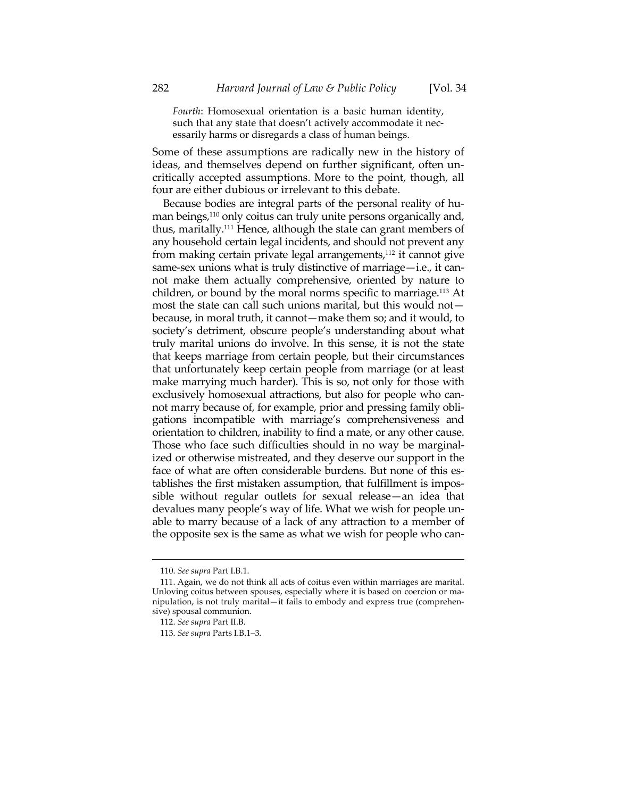*Fourth*: Homosexual orientation is a basic human identity, such that any state that doesn't actively accommodate it necessarily harms or disregards a class of human beings.

Some of these assumptions are radically new in the history of ideas, and themselves depend on further significant, often uncritically accepted assumptions. More to the point, though, all four are either dubious or irrelevant to this debate.

Because bodies are integral parts of the personal reality of human beings,<sup>110</sup> only coitus can truly unite persons organically and, thus, maritally.111 Hence, although the state can grant members of any household certain legal incidents, and should not prevent any from making certain private legal arrangements,112 it cannot give same-sex unions what is truly distinctive of marriage—i.e., it cannot make them actually comprehensive, oriented by nature to children, or bound by the moral norms specific to marriage.113 At most the state can call such unions marital, but this would not because, in moral truth, it cannot—make them so; and it would, to society's detriment, obscure people's understanding about what truly marital unions do involve. In this sense, it is not the state that keeps marriage from certain people, but their circumstances that unfortunately keep certain people from marriage (or at least make marrying much harder). This is so, not only for those with exclusively homosexual attractions, but also for people who cannot marry because of, for example, prior and pressing family obligations incompatible with marriage's comprehensiveness and orientation to children, inability to find a mate, or any other cause. Those who face such difficulties should in no way be marginal‐ ized or otherwise mistreated, and they deserve our support in the face of what are often considerable burdens. But none of this establishes the first mistaken assumption, that fulfillment is impos‐ sible without regular outlets for sexual release—an idea that devalues many people's way of life. What we wish for people un‐ able to marry because of a lack of any attraction to a member of the opposite sex is the same as what we wish for people who can‐

<sup>110.</sup> *See supra* Part I.B.1.

<sup>111.</sup> Again, we do not think all acts of coitus even within marriages are marital. Unloving coitus between spouses, especially where it is based on coercion or ma‐ nipulation, is not truly marital—it fails to embody and express true (comprehen‐ sive) spousal communion.

<sup>112.</sup> *See supra* Part II.B.

<sup>113.</sup> *See supra* Parts I.B.1–3.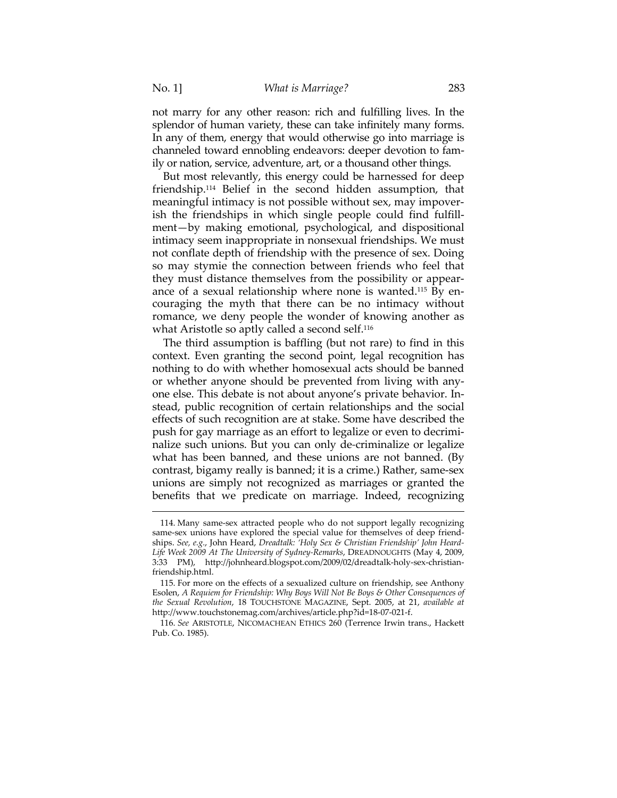not marry for any other reason: rich and fulfilling lives. In the splendor of human variety, these can take infinitely many forms. In any of them, energy that would otherwise go into marriage is channeled toward ennobling endeavors: deeper devotion to fam‐ ily or nation, service, adventure, art, or a thousand other things.

But most relevantly, this energy could be harnessed for deep friendship.114 Belief in the second hidden assumption, that meaningful intimacy is not possible without sex, may impover‐ ish the friendships in which single people could find fulfill‐ ment—by making emotional, psychological, and dispositional intimacy seem inappropriate in nonsexual friendships. We must not conflate depth of friendship with the presence of sex. Doing so may stymie the connection between friends who feel that they must distance themselves from the possibility or appear‐ ance of a sexual relationship where none is wanted.<sup>115</sup> By encouraging the myth that there can be no intimacy without romance, we deny people the wonder of knowing another as what Aristotle so aptly called a second self.<sup>116</sup>

The third assumption is baffling (but not rare) to find in this context. Even granting the second point, legal recognition has nothing to do with whether homosexual acts should be banned or whether anyone should be prevented from living with any‐ one else. This debate is not about anyone's private behavior. In‐ stead, public recognition of certain relationships and the social effects of such recognition are at stake. Some have described the push for gay marriage as an effort to legalize or even to decrimi‐ nalize such unions. But you can only de*‐*criminalize or legalize what has been banned, and these unions are not banned. (By contrast, bigamy really is banned; it is a crime.) Rather, same‐sex unions are simply not recognized as marriages or granted the benefits that we predicate on marriage. Indeed, recognizing

<sup>114.</sup> Many same‐sex attracted people who do not support legally recognizing same-sex unions have explored the special value for themselves of deep friendships. *See, e.g.*, John Heard, *Dreadtalk: 'Holy Sex & Christian Friendship' John Heard‐ Life Week 2009 At The University of Sydney‐Remarks*, DREADNOUGHTS (May 4, 2009, 3:33 PM), http://johnheard.blogspot.com/2009/02/dreadtalk‐holy‐sex‐christian‐ friendship.html.

<sup>115.</sup> For more on the effects of a sexualized culture on friendship, see Anthony Esolen, *A Requiem for Friendship: Why Boys Will Not Be Boys & Other Consequences of the Sexual Revolution*, 18 TOUCHSTONE MAGAZINE, Sept. 2005, at 21, *available at* http://www.touchstonemag.com/archives/article.php?id=18‐07‐021‐f.

<sup>116.</sup> *See* ARISTOTLE, NICOMACHEAN ETHICS 260 (Terrence Irwin trans., Hackett Pub. Co. 1985).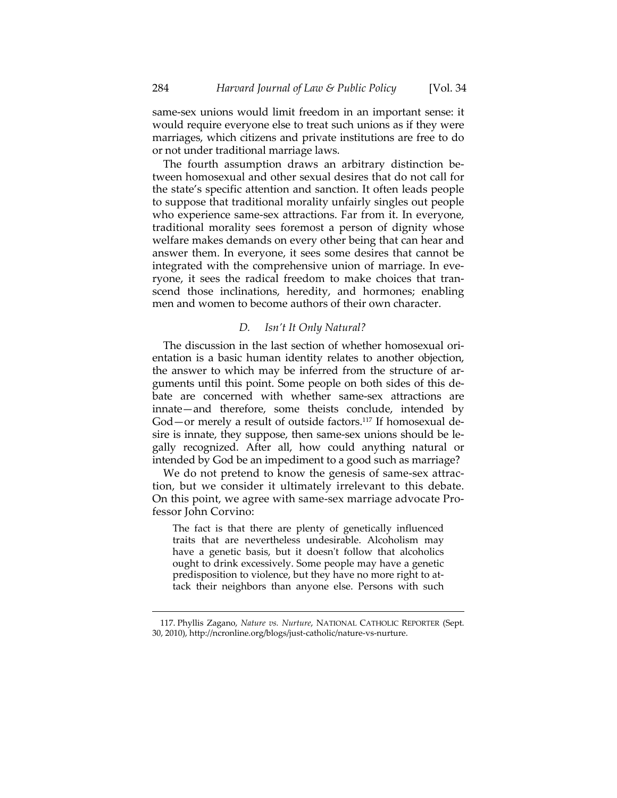same‐sex unions would limit freedom in an important sense: it would require everyone else to treat such unions as if they were marriages, which citizens and private institutions are free to do or not under traditional marriage laws.

The fourth assumption draws an arbitrary distinction be‐ tween homosexual and other sexual desires that do not call for the state's specific attention and sanction. It often leads people to suppose that traditional morality unfairly singles out people who experience same‐sex attractions. Far from it. In everyone, traditional morality sees foremost a person of dignity whose welfare makes demands on every other being that can hear and answer them. In everyone, it sees some desires that cannot be integrated with the comprehensive union of marriage. In everyone, it sees the radical freedom to make choices that transcend those inclinations, heredity, and hormones; enabling men and women to become authors of their own character.

# *D. Isn't It Only Natural?*

The discussion in the last section of whether homosexual orientation is a basic human identity relates to another objection, the answer to which may be inferred from the structure of arguments until this point. Some people on both sides of this de‐ bate are concerned with whether same‐sex attractions are innate—and therefore, some theists conclude, intended by God—or merely a result of outside factors.<sup>117</sup> If homosexual desire is innate, they suppose, then same-sex unions should be legally recognized. After all, how could anything natural or intended by God be an impediment to a good such as marriage?

We do not pretend to know the genesis of same-sex attraction, but we consider it ultimately irrelevant to this debate. On this point, we agree with same‐sex marriage advocate Pro‐ fessor John Corvino:

The fact is that there are plenty of genetically influenced traits that are nevertheless undesirable. Alcoholism may have a genetic basis, but it doesn't follow that alcoholics ought to drink excessively. Some people may have a genetic predisposition to violence, but they have no more right to attack their neighbors than anyone else. Persons with such

<sup>&</sup>lt;u> 1989 - Johann Stein, marwolaethau a bhann an t-Amhain an t-Amhain an t-Amhain an t-Amhain an t-Amhain an t-A</u> 117. Phyllis Zagano, *Nature vs. Nurture*, NATIONAL CATHOLIC REPORTER (Sept. 30, 2010), http://ncronline.org/blogs/just‐catholic/nature‐vs‐nurture.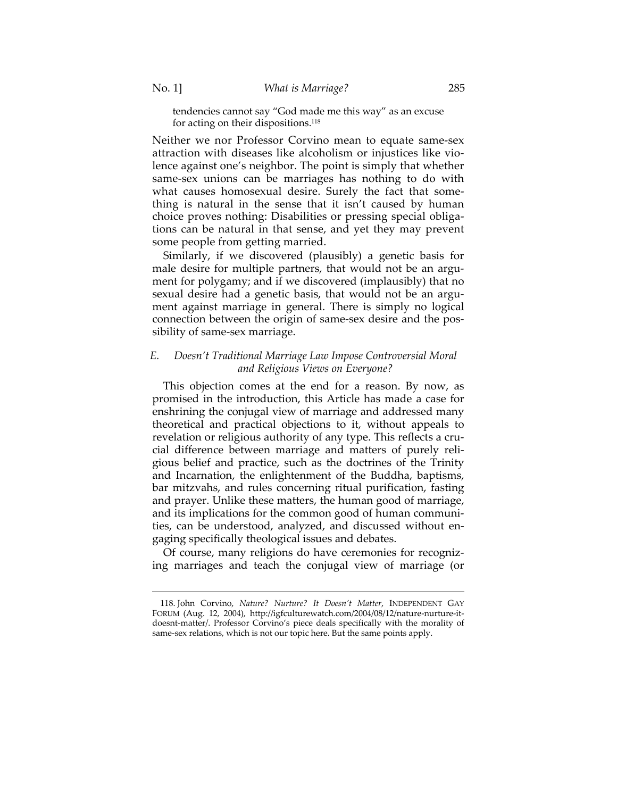tendencies cannot say "God made me this way" as an excuse for acting on their dispositions.118

Neither we nor Professor Corvino mean to equate same‐sex attraction with diseases like alcoholism or injustices like vio‐ lence against one's neighbor. The point is simply that whether same‐sex unions can be marriages has nothing to do with what causes homosexual desire. Surely the fact that some‐ thing is natural in the sense that it isn't caused by human choice proves nothing: Disabilities or pressing special obliga‐ tions can be natural in that sense, and yet they may prevent some people from getting married.

Similarly, if we discovered (plausibly) a genetic basis for male desire for multiple partners, that would not be an argument for polygamy; and if we discovered (implausibly) that no sexual desire had a genetic basis, that would not be an argument against marriage in general. There is simply no logical connection between the origin of same‐sex desire and the pos‐ sibility of same‐sex marriage.

# *E. Doesn't Traditional Marriage Law Impose Controversial Moral and Religious Views on Everyone?*

This objection comes at the end for a reason. By now, as promised in the introduction, this Article has made a case for enshrining the conjugal view of marriage and addressed many theoretical and practical objections to it, without appeals to revelation or religious authority of any type. This reflects a crucial difference between marriage and matters of purely reli‐ gious belief and practice, such as the doctrines of the Trinity and Incarnation, the enlightenment of the Buddha, baptisms, bar mitzvahs, and rules concerning ritual purification, fasting and prayer. Unlike these matters, the human good of marriage, and its implications for the common good of human communi‐ ties, can be understood, analyzed, and discussed without en‐ gaging specifically theological issues and debates.

Of course, many religions do have ceremonies for recogniz‐ ing marriages and teach the conjugal view of marriage (or

<sup>118.</sup> John Corvino, *Nature? Nurture? It Doesn't Matter*, INDEPENDENT GAY FORUM (Aug. 12, 2004), http://igfculturewatch.com/2004/08/12/nature‐nurture‐it‐ doesnt-matter/. Professor Corvino's piece deals specifically with the morality of same-sex relations, which is not our topic here. But the same points apply.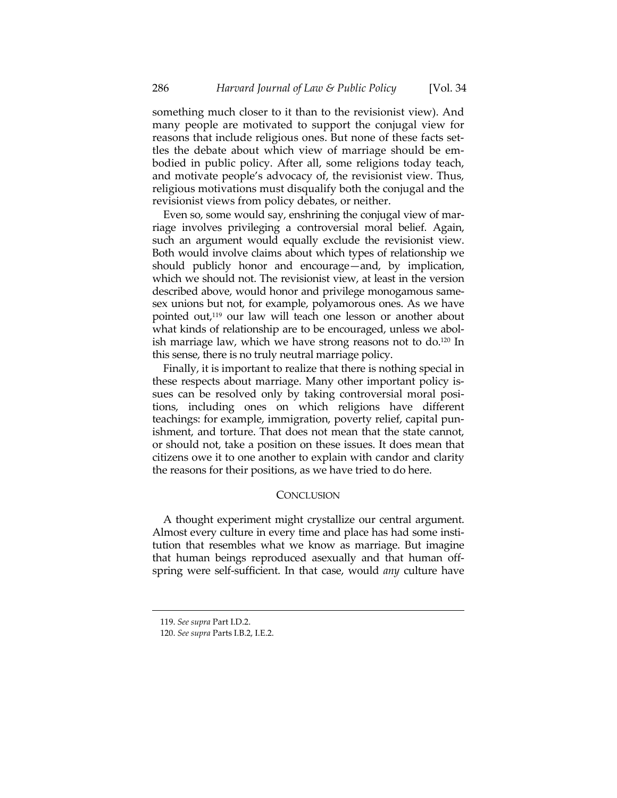something much closer to it than to the revisionist view). And many people are motivated to support the conjugal view for reasons that include religious ones. But none of these facts set‐ tles the debate about which view of marriage should be em‐ bodied in public policy. After all, some religions today teach, and motivate people's advocacy of, the revisionist view. Thus, religious motivations must disqualify both the conjugal and the revisionist views from policy debates, or neither.

Even so, some would say, enshrining the conjugal view of marriage involves privileging a controversial moral belief. Again, such an argument would equally exclude the revisionist view. Both would involve claims about which types of relationship we should publicly honor and encourage—and, by implication, which we should not. The revisionist view, at least in the version described above, would honor and privilege monogamous same‐ sex unions but not, for example, polyamorous ones. As we have pointed out,119 our law will teach one lesson or another about what kinds of relationship are to be encouraged, unless we abolish marriage law, which we have strong reasons not to do.<sup>120</sup> In this sense, there is no truly neutral marriage policy.

Finally, it is important to realize that there is nothing special in these respects about marriage. Many other important policy is‐ sues can be resolved only by taking controversial moral positions, including ones on which religions have different teachings: for example, immigration, poverty relief, capital pun‐ ishment, and torture. That does not mean that the state cannot, or should not, take a position on these issues. It does mean that citizens owe it to one another to explain with candor and clarity the reasons for their positions, as we have tried to do here.

### **CONCLUSION**

A thought experiment might crystallize our central argument. Almost every culture in every time and place has had some institution that resembles what we know as marriage. But imagine that human beings reproduced asexually and that human off‐ spring were self‐sufficient. In that case, would *any* culture have

<sup>119.</sup> *See supra* Part I.D.2.

<sup>120.</sup> *See supra* Parts I.B.2, I.E.2.